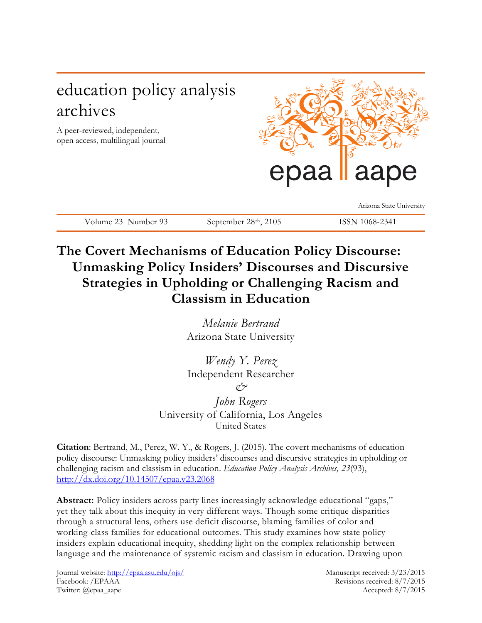# education policy analysis archives

A peer-reviewed, independent, open access, multilingual journal



Arizona State University

Volume 23 Number 93 September 28th, 2105 ISSN 1068-2341

## **The Covert Mechanisms of Education Policy Discourse: Unmasking Policy Insiders' Discourses and Discursive Strategies in Upholding or Challenging Racism and Classism in Education**

*Melanie Bertrand* Arizona State University

*Wendy Y. Perez* Independent Researcher

*&*

*John Rogers* University of California, Los Angeles United States

**Citation**: Bertrand, M., Perez, W. Y., & Rogers, J. (2015). The covert mechanisms of education policy discourse: Unmasking policy insiders' discourses and discursive strategies in upholding or challenging racism and classism in education. *Education Policy Analysis Archives, 23*(93), <http://dx.doi.org/10.14507/epaa.v23.2068>

**Abstract:** Policy insiders across party lines increasingly acknowledge educational "gaps," yet they talk about this inequity in very different ways. Though some critique disparities through a structural lens, others use deficit discourse, blaming families of color and working-class families for educational outcomes. This study examines how state policy insiders explain educational inequity, shedding light on the complex relationship between language and the maintenance of systemic racism and classism in education. Drawing upon

Journal website:<http://epaa.asu.edu/ojs/> Manuscript received: 3/23/2015 Facebook: /EPAAA Revisions received: 8/7/2015 Twitter: @epaa\_aape Accepted: 8/7/2015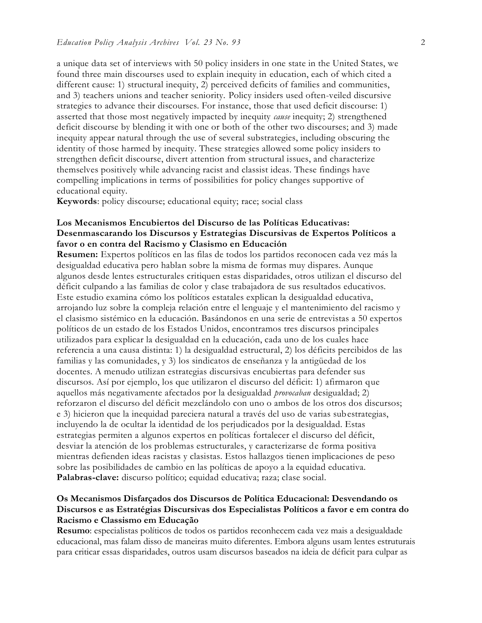a unique data set of interviews with 50 policy insiders in one state in the United States, we found three main discourses used to explain inequity in education, each of which cited a different cause: 1) structural inequity, 2) perceived deficits of families and communities, and 3) teachers unions and teacher seniority. Policy insiders used often-veiled discursive strategies to advance their discourses. For instance, those that used deficit discourse: 1) asserted that those most negatively impacted by inequity *cause* inequity; 2) strengthened deficit discourse by blending it with one or both of the other two discourses; and 3) made inequity appear natural through the use of several substrategies, including obscuring the identity of those harmed by inequity. These strategies allowed some policy insiders to strengthen deficit discourse, divert attention from structural issues, and characterize themselves positively while advancing racist and classist ideas. These findings have compelling implications in terms of possibilities for policy changes supportive of educational equity.

**Keywords**: policy discourse; educational equity; race; social class

#### **Los Mecanismos Encubiertos del Discurso de las Políticas Educativas: Desenmascarando los Discursos y Estrategias Discursivas de Expertos Políticos a favor o en contra del Racismo y Clasismo en Educación**

**Resumen:** Expertos políticos en las filas de todos los partidos reconocen cada vez más la desigualdad educativa pero hablan sobre la misma de formas muy dispares. Aunque algunos desde lentes estructurales critiquen estas disparidades, otros utilizan el discurso del déficit culpando a las familias de color y clase trabajadora de sus resultados educativos. Este estudio examina cómo los políticos estatales explican la desigualdad educativa, arrojando luz sobre la compleja relación entre el lenguaje y el mantenimiento del racismo y el clasismo sistémico en la educación. Basándonos en una serie de entrevistas a 50 expertos políticos de un estado de los Estados Unidos, encontramos tres discursos principales utilizados para explicar la desigualdad en la educación, cada uno de los cuales hace referencia a una causa distinta: 1) la desigualdad estructural, 2) los déficits percibidos de las familias y las comunidades, y 3) los sindicatos de enseñanza y la antigüedad de los docentes. A menudo utilizan estrategias discursivas encubiertas para defender sus discursos. Así por ejemplo, los que utilizaron el discurso del déficit: 1) afirmaron que aquellos más negativamente afectados por la desigualdad *provocaban* desigualdad; 2) reforzaron el discurso del déficit mezclándolo con uno o ambos de los otros dos discursos; e 3) hicieron que la inequidad pareciera natural a través del uso de varias subestrategias, incluyendo la de ocultar la identidad de los perjudicados por la desigualdad. Estas estrategias permiten a algunos expertos en políticas fortalecer el discurso del déficit, desviar la atención de los problemas estructurales, y caracterizarse de forma positiva mientras defienden ideas racistas y clasistas. Estos hallazgos tienen implicaciones de peso sobre las posibilidades de cambio en las políticas de apoyo a la equidad educativa. **Palabras-clave:** discurso político; equidad educativa; raza; clase social.

#### **Os Mecanismos Disfarçados dos Discursos de Política Educacional: Desvendando os Discursos e as Estratégias Discursivas dos Especialistas Políticos a favor e em contra do Racismo e Classismo em Educação**

**Resumo**: especialistas políticos de todos os partidos reconhecem cada vez mais a desigualdade educacional, mas falam disso de maneiras muito diferentes. Embora alguns usam lentes estruturais para criticar essas disparidades, outros usam discursos baseados na ideia de déficit para culpar as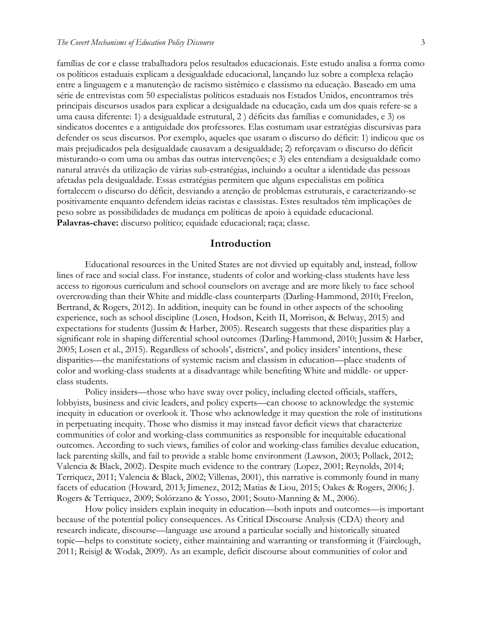famílias de cor e classe trabalhadora pelos resultados educacionais. Este estudo analisa a forma como os políticos estaduais explicam a desigualdade educacional, lançando luz sobre a complexa relação entre a linguagem e a manutenção de racismo sistêmico e classismo na educação. Baseado em uma série de entrevistas com 50 especialistas políticos estaduais nos Estados Unidos, encontramos três principais discursos usados para explicar a desigualdade na educação, cada um dos quais refere-se a uma causa diferente: 1) a desigualdade estrutural, 2 ) déficits das famílias e comunidades, e 3) os sindicatos docentes e a antiguidade dos professores. Elas costumam usar estratégias discursivas para defender os seus discursos. Por exemplo, aqueles que usaram o discurso do déficit: 1) indicou que os mais prejudicados pela desigualdade causavam a desigualdade; 2) reforçavam o discurso do déficit misturando-o com uma ou ambas das outras intervenções; e 3) eles entendiam a desigualdade como natural através da utilização de várias sub-estratégias, incluindo a ocultar a identidade das pessoas afetadas pela desigualdade. Essas estratégias permitem que alguns especialistas em política fortalecem o discurso do déficit, desviando a atenção de problemas estruturais, e caracterizando-se positivamente enquanto defendem ideias racistas e classistas. Estes resultados têm implicações de peso sobre as possibilidades de mudança em políticas de apoio à equidade educacional. **Palavras-chave:** discurso político; equidade educacional; raça; classe.

#### **Introduction**

Educational resources in the United States are not divvied up equitably and, instead, follow lines of race and social class. For instance, students of color and working-class students have less access to rigorous curriculum and school counselors on average and are more likely to face school overcrowding than their White and middle-class counterparts (Darling-Hammond, 2010; Freelon, Bertrand, & Rogers, 2012). In addition, inequity can be found in other aspects of the schooling experience, such as school discipline (Losen, Hodson, Keith II, Morrison, & Belway, 2015) and expectations for students (Jussim & Harber, 2005). Research suggests that these disparities play a significant role in shaping differential school outcomes (Darling-Hammond, 2010; Jussim & Harber, 2005; Losen et al., 2015). Regardless of schools', districts', and policy insiders' intentions, these disparities—the manifestations of systemic racism and classism in education—place students of color and working-class students at a disadvantage while benefiting White and middle- or upperclass students.

Policy insiders—those who have sway over policy, including elected officials, staffers, lobbyists, business and civic leaders, and policy experts—can choose to acknowledge the systemic inequity in education or overlook it. Those who acknowledge it may question the role of institutions in perpetuating inequity. Those who dismiss it may instead favor deficit views that characterize communities of color and working-class communities as responsible for inequitable educational outcomes. According to such views, families of color and working-class families devalue education, lack parenting skills, and fail to provide a stable home environment (Lawson, 2003; Pollack, 2012; Valencia & Black, 2002). Despite much evidence to the contrary (Lopez, 2001; Reynolds, 2014; Terriquez, 2011; Valencia & Black, 2002; Villenas, 2001), this narrative is commonly found in many facets of education (Howard, 2013; Jimenez, 2012; Matias & Liou, 2015; Oakes & Rogers, 2006; J. Rogers & Terriquez, 2009; Solórzano & Yosso, 2001; Souto-Manning & M., 2006).

How policy insiders explain inequity in education—both inputs and outcomes—is important because of the potential policy consequences. As Critical Discourse Analysis (CDA) theory and research indicate, discourse—language use around a particular socially and historically situated topic—helps to constitute society, either maintaining and warranting or transforming it (Fairclough, 2011; Reisigl & Wodak, 2009). As an example, deficit discourse about communities of color and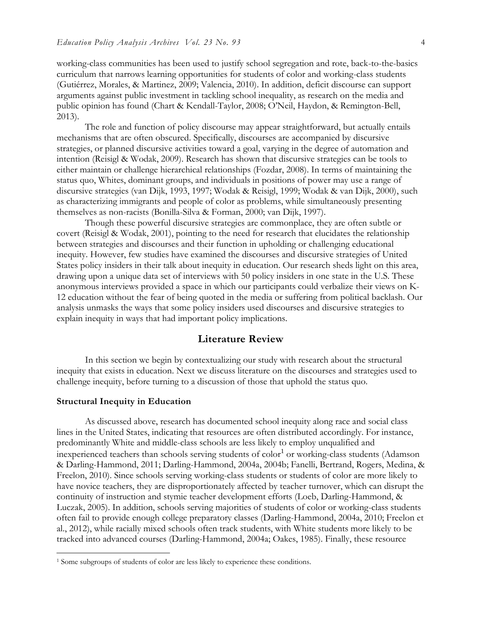working-class communities has been used to justify school segregation and rote, back-to-the-basics curriculum that narrows learning opportunities for students of color and working-class students (Gutiérrez, Morales, & Martinez, 2009; Valencia, 2010). In addition, deficit discourse can support arguments against public investment in tackling school inequality, as research on the media and public opinion has found (Chart & Kendall-Taylor, 2008; O'Neil, Haydon, & Remington-Bell, 2013).

The role and function of policy discourse may appear straightforward, but actually entails mechanisms that are often obscured. Specifically, discourses are accompanied by discursive strategies, or planned discursive activities toward a goal, varying in the degree of automation and intention (Reisigl & Wodak, 2009). Research has shown that discursive strategies can be tools to either maintain or challenge hierarchical relationships (Fozdar, 2008). In terms of maintaining the status quo, Whites, dominant groups, and individuals in positions of power may use a range of discursive strategies (van Dijk, 1993, 1997; Wodak & Reisigl, 1999; Wodak & van Dijk, 2000), such as characterizing immigrants and people of color as problems, while simultaneously presenting themselves as non-racists (Bonilla-Silva & Forman, 2000; van Dijk, 1997).

Though these powerful discursive strategies are commonplace, they are often subtle or covert (Reisigl & Wodak, 2001), pointing to the need for research that elucidates the relationship between strategies and discourses and their function in upholding or challenging educational inequity. However, few studies have examined the discourses and discursive strategies of United States policy insiders in their talk about inequity in education. Our research sheds light on this area, drawing upon a unique data set of interviews with 50 policy insiders in one state in the U.S. These anonymous interviews provided a space in which our participants could verbalize their views on K-12 education without the fear of being quoted in the media or suffering from political backlash. Our analysis unmasks the ways that some policy insiders used discourses and discursive strategies to explain inequity in ways that had important policy implications.

#### **Literature Review**

In this section we begin by contextualizing our study with research about the structural inequity that exists in education. Next we discuss literature on the discourses and strategies used to challenge inequity, before turning to a discussion of those that uphold the status quo.

#### **Structural Inequity in Education**

 $\overline{a}$ 

As discussed above, research has documented school inequity along race and social class lines in the United States, indicating that resources are often distributed accordingly. For instance, predominantly White and middle-class schools are less likely to employ unqualified and inexperienced teachers than schools serving students of  $color<sup>1</sup>$  or working-class students (Adamson & Darling-Hammond, 2011; Darling-Hammond, 2004a, 2004b; Fanelli, Bertrand, Rogers, Medina, & Freelon, 2010). Since schools serving working-class students or students of color are more likely to have novice teachers, they are disproportionately affected by teacher turnover, which can disrupt the continuity of instruction and stymie teacher development efforts (Loeb, Darling-Hammond, & Luczak, 2005). In addition, schools serving majorities of students of color or working-class students often fail to provide enough college preparatory classes (Darling-Hammond, 2004a, 2010; Freelon et al., 2012), while racially mixed schools often track students, with White students more likely to be tracked into advanced courses (Darling-Hammond, 2004a; Oakes, 1985). Finally, these resource

<sup>&</sup>lt;sup>1</sup> Some subgroups of students of color are less likely to experience these conditions.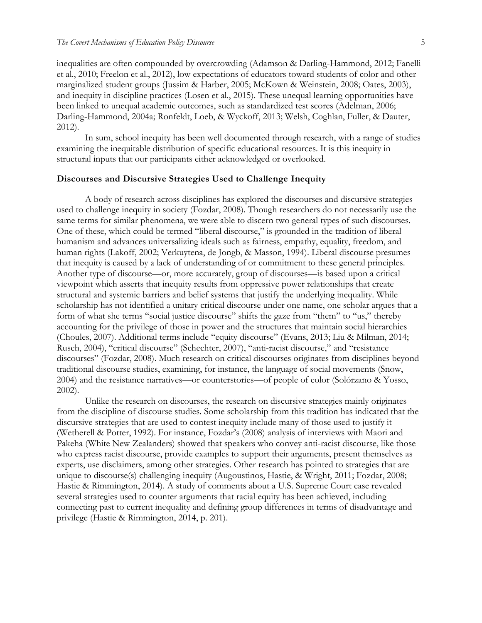inequalities are often compounded by overcrowding (Adamson & Darling-Hammond, 2012; Fanelli et al., 2010; Freelon et al., 2012), low expectations of educators toward students of color and other marginalized student groups (Jussim & Harber, 2005; McKown & Weinstein, 2008; Oates, 2003), and inequity in discipline practices (Losen et al., 2015). These unequal learning opportunities have been linked to unequal academic outcomes, such as standardized test scores (Adelman, 2006; Darling-Hammond, 2004a; Ronfeldt, Loeb, & Wyckoff, 2013; Welsh, Coghlan, Fuller, & Dauter, 2012).

In sum, school inequity has been well documented through research, with a range of studies examining the inequitable distribution of specific educational resources. It is this inequity in structural inputs that our participants either acknowledged or overlooked.

#### **Discourses and Discursive Strategies Used to Challenge Inequity**

A body of research across disciplines has explored the discourses and discursive strategies used to challenge inequity in society (Fozdar, 2008). Though researchers do not necessarily use the same terms for similar phenomena, we were able to discern two general types of such discourses. One of these, which could be termed "liberal discourse," is grounded in the tradition of liberal humanism and advances universalizing ideals such as fairness, empathy, equality, freedom, and human rights (Lakoff, 2002; Verkuytena, de Jongb, & Masson, 1994). Liberal discourse presumes that inequity is caused by a lack of understanding of or commitment to these general principles. Another type of discourse—or, more accurately, group of discourses—is based upon a critical viewpoint which asserts that inequity results from oppressive power relationships that create structural and systemic barriers and belief systems that justify the underlying inequality. While scholarship has not identified a unitary critical discourse under one name, one scholar argues that a form of what she terms "social justice discourse" shifts the gaze from "them" to "us," thereby accounting for the privilege of those in power and the structures that maintain social hierarchies (Choules, 2007). Additional terms include "equity discourse" (Evans, 2013; Liu & Milman, 2014; Rusch, 2004), "critical discourse" (Schechter, 2007), "anti-racist discourse," and "resistance discourses" (Fozdar, 2008). Much research on critical discourses originates from disciplines beyond traditional discourse studies, examining, for instance, the language of social movements (Snow, 2004) and the resistance narratives—or counterstories—of people of color (Solórzano & Yosso, 2002).

Unlike the research on discourses, the research on discursive strategies mainly originates from the discipline of discourse studies. Some scholarship from this tradition has indicated that the discursive strategies that are used to contest inequity include many of those used to justify it (Wetherell & Potter, 1992). For instance, Fozdar's (2008) analysis of interviews with Maori and Pakeha (White New Zealanders) showed that speakers who convey anti-racist discourse, like those who express racist discourse, provide examples to support their arguments, present themselves as experts, use disclaimers, among other strategies. Other research has pointed to strategies that are unique to discourse(s) challenging inequity (Augoustinos, Hastie, & Wright, 2011; Fozdar, 2008; Hastie & Rimmington, 2014). A study of comments about a U.S. Supreme Court case revealed several strategies used to counter arguments that racial equity has been achieved, including connecting past to current inequality and defining group differences in terms of disadvantage and privilege (Hastie & Rimmington, 2014, p. 201).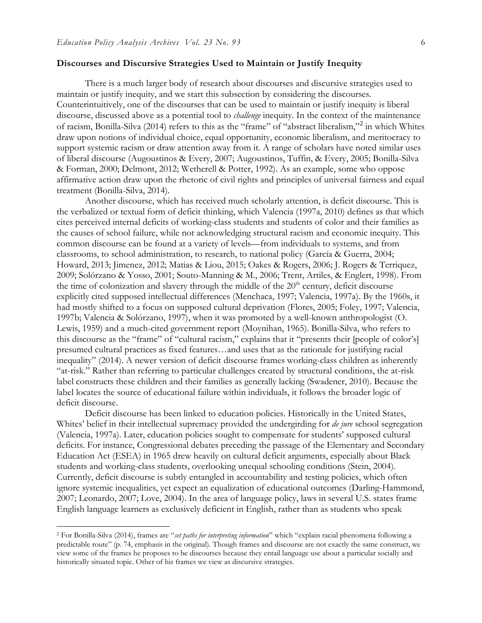#### **Discourses and Discursive Strategies Used to Maintain or Justify Inequity**

There is a much larger body of research about discourses and discursive strategies used to maintain or justify inequity, and we start this subsection by considering the discourses. Counterintuitively, one of the discourses that can be used to maintain or justify inequity is liberal discourse, discussed above as a potential tool to *challenge* inequity. In the context of the maintenance of racism, Bonilla-Silva (2014) refers to this as the "frame" of "abstract liberalism,"<sup>2</sup> in which Whites draw upon notions of individual choice, equal opportunity, economic liberalism, and meritocracy to support systemic racism or draw attention away from it. A range of scholars have noted similar uses of liberal discourse (Augoustinos & Every, 2007; Augoustinos, Tuffin, & Every, 2005; Bonilla-Silva & Forman, 2000; Delmont, 2012; Wetherell & Potter, 1992). As an example, some who oppose affirmative action draw upon the rhetoric of civil rights and principles of universal fairness and equal treatment (Bonilla-Silva, 2014).

Another discourse, which has received much scholarly attention, is deficit discourse. This is the verbalized or textual form of deficit thinking, which Valencia (1997a, 2010) defines as that which cites perceived internal deficits of working-class students and students of color and their families as the causes of school failure, while not acknowledging structural racism and economic inequity. This common discourse can be found at a variety of levels—from individuals to systems, and from classrooms, to school administration, to research, to national policy (García & Guerra, 2004; Howard, 2013; Jimenez, 2012; Matias & Liou, 2015; Oakes & Rogers, 2006; J. Rogers & Terriquez, 2009; Solórzano & Yosso, 2001; Souto-Manning & M., 2006; Trent, Artiles, & Englert, 1998). From the time of colonization and slavery through the middle of the  $20<sup>th</sup>$  century, deficit discourse explicitly cited supposed intellectual differences (Menchaca, 1997; Valencia, 1997a). By the 1960s, it had mostly shifted to a focus on supposed cultural deprivation (Flores, 2005; Foley, 1997; Valencia, 1997b; Valencia & Solórzano, 1997), when it was promoted by a well-known anthropologist (O. Lewis, 1959) and a much-cited government report (Moynihan, 1965). Bonilla-Silva, who refers to this discourse as the "frame" of "cultural racism," explains that it "presents their [people of color's] presumed cultural practices as fixed features…and uses that as the rationale for justifying racial inequality" (2014). A newer version of deficit discourse frames working-class children as inherently "at-risk." Rather than referring to particular challenges created by structural conditions, the at-risk label constructs these children and their families as generally lacking (Swadener, 2010). Because the label locates the source of educational failure within individuals, it follows the broader logic of deficit discourse.

Deficit discourse has been linked to education policies. Historically in the United States, Whites' belief in their intellectual supremacy provided the undergirding for *de jure* school segregation (Valencia, 1997a). Later, education policies sought to compensate for students' supposed cultural deficits. For instance, Congressional debates preceding the passage of the Elementary and Secondary Education Act (ESEA) in 1965 drew heavily on cultural deficit arguments, especially about Black students and working-class students, overlooking unequal schooling conditions (Stein, 2004). Currently, deficit discourse is subtly entangled in accountability and testing policies, which often ignore systemic inequalities, yet expect an equalization of educational outcomes (Darling-Hammond, 2007; Leonardo, 2007; Love, 2004). In the area of language policy, laws in several U.S. states frame English language learners as exclusively deficient in English, rather than as students who speak

 $\overline{a}$ 

<sup>2</sup> For Bonilla-Silva (2014), frames are "*set paths for interpreting information*" which "explain racial phenomena following a predictable route" (p. 74, emphasis in the original). Though frames and discourse are not exactly the same construct, we view some of the frames he proposes to be discourses because they entail language use about a particular socially and historically situated topic. Other of his frames we view as discursive strategies.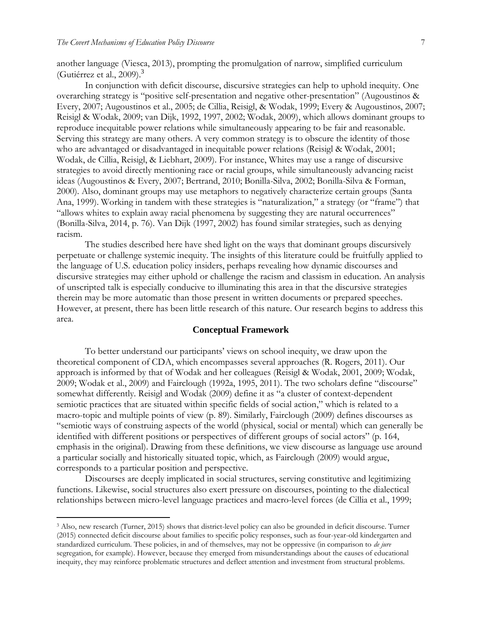$\overline{a}$ 

another language (Viesca, 2013), prompting the promulgation of narrow, simplified curriculum (Gutiérrez et al., 2009). 3

In conjunction with deficit discourse, discursive strategies can help to uphold inequity. One overarching strategy is "positive self-presentation and negative other-presentation" (Augoustinos & Every, 2007; Augoustinos et al., 2005; de Cillia, Reisigl, & Wodak, 1999; Every & Augoustinos, 2007; Reisigl & Wodak, 2009; van Dijk, 1992, 1997, 2002; Wodak, 2009), which allows dominant groups to reproduce inequitable power relations while simultaneously appearing to be fair and reasonable. Serving this strategy are many others. A very common strategy is to obscure the identity of those who are advantaged or disadvantaged in inequitable power relations (Reisigl & Wodak, 2001; Wodak, de Cillia, Reisigl, & Liebhart, 2009). For instance, Whites may use a range of discursive strategies to avoid directly mentioning race or racial groups, while simultaneously advancing racist ideas (Augoustinos & Every, 2007; Bertrand, 2010; Bonilla-Silva, 2002; Bonilla-Silva & Forman, 2000). Also, dominant groups may use metaphors to negatively characterize certain groups (Santa Ana, 1999). Working in tandem with these strategies is "naturalization," a strategy (or "frame") that "allows whites to explain away racial phenomena by suggesting they are natural occurrences" (Bonilla-Silva, 2014, p. 76). Van Dijk (1997, 2002) has found similar strategies, such as denying racism.

The studies described here have shed light on the ways that dominant groups discursively perpetuate or challenge systemic inequity. The insights of this literature could be fruitfully applied to the language of U.S. education policy insiders, perhaps revealing how dynamic discourses and discursive strategies may either uphold or challenge the racism and classism in education. An analysis of unscripted talk is especially conducive to illuminating this area in that the discursive strategies therein may be more automatic than those present in written documents or prepared speeches. However, at present, there has been little research of this nature. Our research begins to address this area.

#### **Conceptual Framework**

To better understand our participants' views on school inequity, we draw upon the theoretical component of CDA, which encompasses several approaches (R. Rogers, 2011). Our approach is informed by that of Wodak and her colleagues (Reisigl & Wodak, 2001, 2009; Wodak, 2009; Wodak et al., 2009) and Fairclough (1992a, 1995, 2011). The two scholars define "discourse" somewhat differently. Reisigl and Wodak (2009) define it as "a cluster of context-dependent semiotic practices that are situated within specific fields of social action," which is related to a macro-topic and multiple points of view (p. 89). Similarly, Fairclough (2009) defines discourses as "semiotic ways of construing aspects of the world (physical, social or mental) which can generally be identified with different positions or perspectives of different groups of social actors" (p. 164, emphasis in the original). Drawing from these definitions, we view discourse as language use around a particular socially and historically situated topic, which, as Fairclough (2009) would argue, corresponds to a particular position and perspective.

Discourses are deeply implicated in social structures, serving constitutive and legitimizing functions. Likewise, social structures also exert pressure on discourses, pointing to the dialectical relationships between micro-level language practices and macro-level forces (de Cillia et al., 1999;

<sup>3</sup> Also, new research (Turner, 2015) shows that district-level policy can also be grounded in deficit discourse. Turner (2015) connected deficit discourse about families to specific policy responses, such as four-year-old kindergarten and standardized curriculum. These policies, in and of themselves, may not be oppressive (in comparison to *de jure* segregation, for example). However, because they emerged from misunderstandings about the causes of educational inequity, they may reinforce problematic structures and deflect attention and investment from structural problems.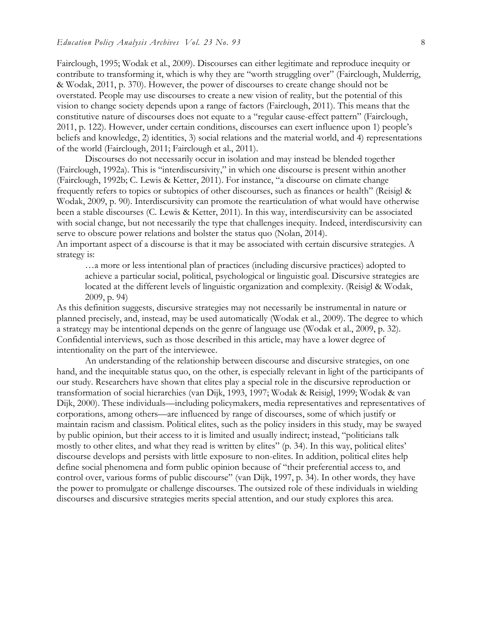Fairclough, 1995; Wodak et al., 2009). Discourses can either legitimate and reproduce inequity or contribute to transforming it, which is why they are "worth struggling over" (Fairclough, Mulderrig, & Wodak, 2011, p. 370). However, the power of discourses to create change should not be overstated. People may use discourses to create a new vision of reality, but the potential of this vision to change society depends upon a range of factors (Fairclough, 2011). This means that the constitutive nature of discourses does not equate to a "regular cause-effect pattern" (Fairclough, 2011, p. 122). However, under certain conditions, discourses can exert influence upon 1) people's beliefs and knowledge, 2) identities, 3) social relations and the material world, and 4) representations of the world (Fairclough, 2011; Fairclough et al., 2011).

Discourses do not necessarily occur in isolation and may instead be blended together (Fairclough, 1992a). This is "interdiscursivity," in which one discourse is present within another (Fairclough, 1992b; C. Lewis & Ketter, 2011). For instance, "a discourse on climate change frequently refers to topics or subtopics of other discourses, such as finances or health" (Reisigl & Wodak, 2009, p. 90). Interdiscursivity can promote the rearticulation of what would have otherwise been a stable discourses (C. Lewis & Ketter, 2011). In this way, interdiscursivity can be associated with social change, but not necessarily the type that challenges inequity. Indeed, interdiscursivity can serve to obscure power relations and bolster the status quo (Nolan, 2014). An important aspect of a discourse is that it may be associated with certain discursive strategies. A strategy is:

…a more or less intentional plan of practices (including discursive practices) adopted to achieve a particular social, political, psychological or linguistic goal. Discursive strategies are located at the different levels of linguistic organization and complexity. (Reisigl & Wodak, 2009, p. 94)

As this definition suggests, discursive strategies may not necessarily be instrumental in nature or planned precisely, and, instead, may be used automatically (Wodak et al., 2009). The degree to which a strategy may be intentional depends on the genre of language use (Wodak et al., 2009, p. 32). Confidential interviews, such as those described in this article, may have a lower degree of intentionality on the part of the interviewee.

An understanding of the relationship between discourse and discursive strategies, on one hand, and the inequitable status quo, on the other, is especially relevant in light of the participants of our study. Researchers have shown that elites play a special role in the discursive reproduction or transformation of social hierarchies (van Dijk, 1993, 1997; Wodak & Reisigl, 1999; Wodak & van Dijk, 2000). These individuals—including policymakers, media representatives and representatives of corporations, among others—are influenced by range of discourses, some of which justify or maintain racism and classism. Political elites, such as the policy insiders in this study, may be swayed by public opinion, but their access to it is limited and usually indirect; instead, "politicians talk mostly to other elites, and what they read is written by elites" (p. 34). In this way, political elites' discourse develops and persists with little exposure to non-elites. In addition, political elites help define social phenomena and form public opinion because of "their preferential access to, and control over, various forms of public discourse" (van Dijk, 1997, p. 34). In other words, they have the power to promulgate or challenge discourses. The outsized role of these individuals in wielding discourses and discursive strategies merits special attention, and our study explores this area.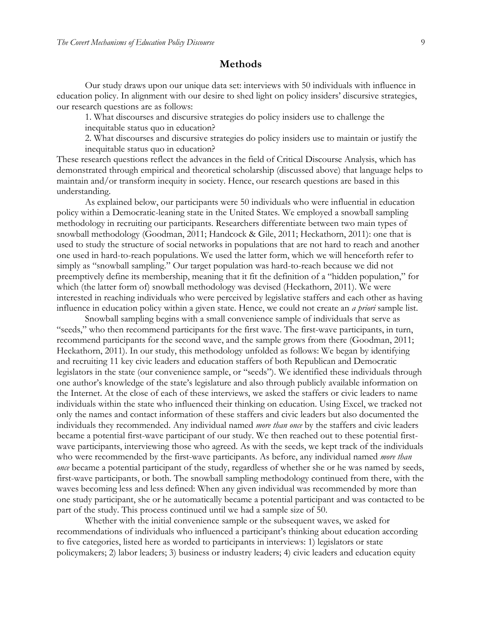#### **Methods**

Our study draws upon our unique data set: interviews with 50 individuals with influence in education policy. In alignment with our desire to shed light on policy insiders' discursive strategies, our research questions are as follows:

1. What discourses and discursive strategies do policy insiders use to challenge the

inequitable status quo in education?

2. What discourses and discursive strategies do policy insiders use to maintain or justify the inequitable status quo in education?

These research questions reflect the advances in the field of Critical Discourse Analysis, which has demonstrated through empirical and theoretical scholarship (discussed above) that language helps to maintain and/or transform inequity in society. Hence, our research questions are based in this understanding.

As explained below, our participants were 50 individuals who were influential in education policy within a Democratic-leaning state in the United States. We employed a snowball sampling methodology in recruiting our participants. Researchers differentiate between two main types of snowball methodology (Goodman, 2011; Handcock & Gile, 2011; Heckathorn, 2011): one that is used to study the structure of social networks in populations that are not hard to reach and another one used in hard-to-reach populations. We used the latter form, which we will henceforth refer to simply as "snowball sampling." Our target population was hard-to-reach because we did not preemptively define its membership, meaning that it fit the definition of a "hidden population," for which (the latter form of) snowball methodology was devised (Heckathorn, 2011). We were interested in reaching individuals who were perceived by legislative staffers and each other as having influence in education policy within a given state. Hence, we could not create an *a priori* sample list.

Snowball sampling begins with a small convenience sample of individuals that serve as "seeds," who then recommend participants for the first wave. The first-wave participants, in turn, recommend participants for the second wave, and the sample grows from there (Goodman, 2011; Heckathorn, 2011). In our study, this methodology unfolded as follows: We began by identifying and recruiting 11 key civic leaders and education staffers of both Republican and Democratic legislators in the state (our convenience sample, or "seeds"). We identified these individuals through one author's knowledge of the state's legislature and also through publicly available information on the Internet. At the close of each of these interviews, we asked the staffers or civic leaders to name individuals within the state who influenced their thinking on education. Using Excel, we tracked not only the names and contact information of these staffers and civic leaders but also documented the individuals they recommended. Any individual named *more than once* by the staffers and civic leaders became a potential first-wave participant of our study. We then reached out to these potential firstwave participants, interviewing those who agreed. As with the seeds, we kept track of the individuals who were recommended by the first-wave participants. As before, any individual named *more than once* became a potential participant of the study, regardless of whether she or he was named by seeds, first-wave participants, or both. The snowball sampling methodology continued from there, with the waves becoming less and less defined: When any given individual was recommended by more than one study participant, she or he automatically became a potential participant and was contacted to be part of the study. This process continued until we had a sample size of 50.

Whether with the initial convenience sample or the subsequent waves, we asked for recommendations of individuals who influenced a participant's thinking about education according to five categories, listed here as worded to participants in interviews: 1) legislators or state policymakers; 2) labor leaders; 3) business or industry leaders; 4) civic leaders and education equity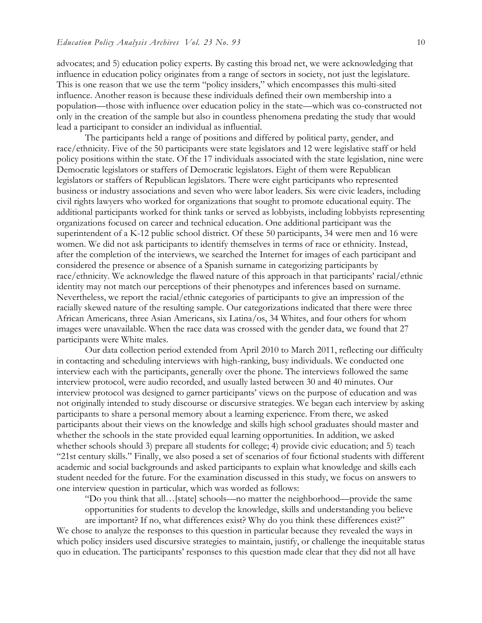advocates; and 5) education policy experts. By casting this broad net, we were acknowledging that influence in education policy originates from a range of sectors in society, not just the legislature. This is one reason that we use the term "policy insiders," which encompasses this multi-sited influence. Another reason is because these individuals defined their own membership into a population—those with influence over education policy in the state—which was co-constructed not only in the creation of the sample but also in countless phenomena predating the study that would lead a participant to consider an individual as influential.

The participants held a range of positions and differed by political party, gender, and race/ethnicity. Five of the 50 participants were state legislators and 12 were legislative staff or held policy positions within the state. Of the 17 individuals associated with the state legislation, nine were Democratic legislators or staffers of Democratic legislators. Eight of them were Republican legislators or staffers of Republican legislators. There were eight participants who represented business or industry associations and seven who were labor leaders. Six were civic leaders, including civil rights lawyers who worked for organizations that sought to promote educational equity. The additional participants worked for think tanks or served as lobbyists, including lobbyists representing organizations focused on career and technical education. One additional participant was the superintendent of a K-12 public school district. Of these 50 participants, 34 were men and 16 were women. We did not ask participants to identify themselves in terms of race or ethnicity. Instead, after the completion of the interviews, we searched the Internet for images of each participant and considered the presence or absence of a Spanish surname in categorizing participants by race/ethnicity. We acknowledge the flawed nature of this approach in that participants' racial/ethnic identity may not match our perceptions of their phenotypes and inferences based on surname. Nevertheless, we report the racial/ethnic categories of participants to give an impression of the racially skewed nature of the resulting sample. Our categorizations indicated that there were three African Americans, three Asian Americans, six Latina/os, 34 Whites, and four others for whom images were unavailable. When the race data was crossed with the gender data, we found that 27 participants were White males.

Our data collection period extended from April 2010 to March 2011, reflecting our difficulty in contacting and scheduling interviews with high-ranking, busy individuals. We conducted one interview each with the participants, generally over the phone. The interviews followed the same interview protocol, were audio recorded, and usually lasted between 30 and 40 minutes. Our interview protocol was designed to garner participants' views on the purpose of education and was not originally intended to study discourse or discursive strategies. We began each interview by asking participants to share a personal memory about a learning experience. From there, we asked participants about their views on the knowledge and skills high school graduates should master and whether the schools in the state provided equal learning opportunities. In addition, we asked whether schools should 3) prepare all students for college; 4) provide civic education; and 5) teach "21st century skills." Finally, we also posed a set of scenarios of four fictional students with different academic and social backgrounds and asked participants to explain what knowledge and skills each student needed for the future. For the examination discussed in this study, we focus on answers to one interview question in particular, which was worded as follows:

"Do you think that all…[state] schools—no matter the neighborhood—provide the same opportunities for students to develop the knowledge, skills and understanding you believe

are important? If no, what differences exist? Why do you think these differences exist?" We chose to analyze the responses to this question in particular because they revealed the ways in which policy insiders used discursive strategies to maintain, justify, or challenge the inequitable status quo in education. The participants' responses to this question made clear that they did not all have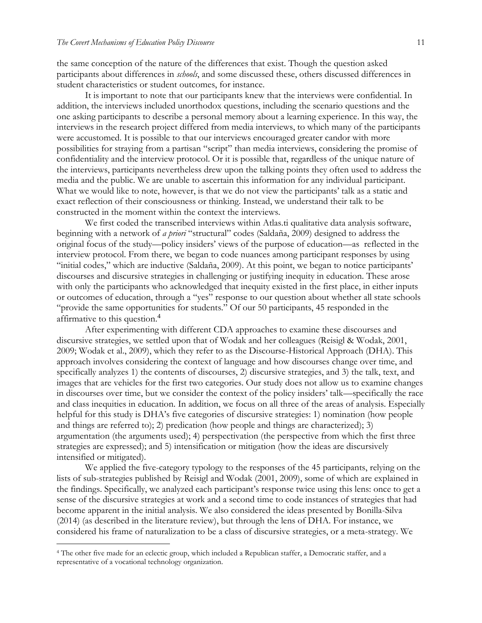the same conception of the nature of the differences that exist. Though the question asked participants about differences in *schools*, and some discussed these, others discussed differences in student characteristics or student outcomes, for instance.

It is important to note that our participants knew that the interviews were confidential. In addition, the interviews included unorthodox questions, including the scenario questions and the one asking participants to describe a personal memory about a learning experience. In this way, the interviews in the research project differed from media interviews, to which many of the participants were accustomed. It is possible to that our interviews encouraged greater candor with more possibilities for straying from a partisan "script" than media interviews, considering the promise of confidentiality and the interview protocol. Or it is possible that, regardless of the unique nature of the interviews, participants nevertheless drew upon the talking points they often used to address the media and the public. We are unable to ascertain this information for any individual participant. What we would like to note, however, is that we do not view the participants' talk as a static and exact reflection of their consciousness or thinking. Instead, we understand their talk to be constructed in the moment within the context the interviews.

We first coded the transcribed interviews within Atlas.ti qualitative data analysis software, beginning with a network of *a priori* "structural" codes (Saldaña, 2009) designed to address the original focus of the study—policy insiders' views of the purpose of education—as reflected in the interview protocol. From there, we began to code nuances among participant responses by using "initial codes," which are inductive (Saldaña, 2009). At this point, we began to notice participants' discourses and discursive strategies in challenging or justifying inequity in education. These arose with only the participants who acknowledged that inequity existed in the first place, in either inputs or outcomes of education, through a "yes" response to our question about whether all state schools "provide the same opportunities for students." Of our 50 participants, 45 responded in the affirmative to this question.<sup>4</sup>

After experimenting with different CDA approaches to examine these discourses and discursive strategies, we settled upon that of Wodak and her colleagues (Reisigl & Wodak, 2001, 2009; Wodak et al., 2009), which they refer to as the Discourse-Historical Approach (DHA). This approach involves considering the context of language and how discourses change over time, and specifically analyzes 1) the contents of discourses, 2) discursive strategies, and 3) the talk, text, and images that are vehicles for the first two categories. Our study does not allow us to examine changes in discourses over time, but we consider the context of the policy insiders' talk—specifically the race and class inequities in education. In addition, we focus on all three of the areas of analysis. Especially helpful for this study is DHA's five categories of discursive strategies: 1) nomination (how people and things are referred to); 2) predication (how people and things are characterized); 3) argumentation (the arguments used); 4) perspectivation (the perspective from which the first three strategies are expressed); and 5) intensification or mitigation (how the ideas are discursively intensified or mitigated).

We applied the five-category typology to the responses of the 45 participants, relying on the lists of sub-strategies published by Reisigl and Wodak (2001, 2009), some of which are explained in the findings. Specifically, we analyzed each participant's response twice using this lens: once to get a sense of the discursive strategies at work and a second time to code instances of strategies that had become apparent in the initial analysis. We also considered the ideas presented by Bonilla-Silva (2014) (as described in the literature review), but through the lens of DHA. For instance, we considered his frame of naturalization to be a class of discursive strategies, or a meta-strategy. We

 $\overline{a}$ 

<sup>4</sup> The other five made for an eclectic group, which included a Republican staffer, a Democratic staffer, and a representative of a vocational technology organization.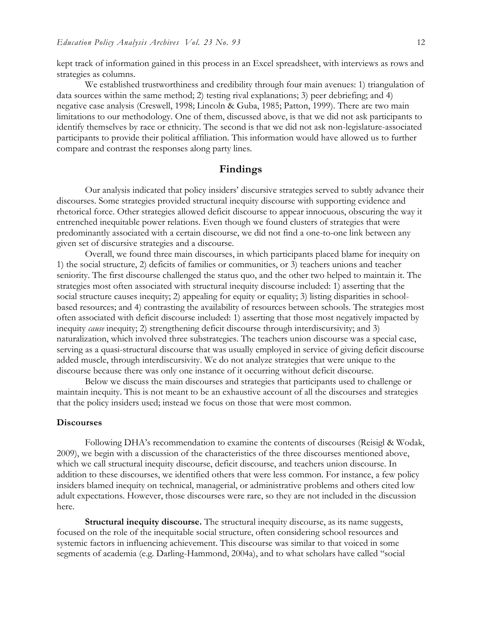kept track of information gained in this process in an Excel spreadsheet, with interviews as rows and strategies as columns.

We established trustworthiness and credibility through four main avenues: 1) triangulation of data sources within the same method; 2) testing rival explanations; 3) peer debriefing; and 4) negative case analysis (Creswell, 1998; Lincoln & Guba, 1985; Patton, 1999). There are two main limitations to our methodology. One of them, discussed above, is that we did not ask participants to identify themselves by race or ethnicity. The second is that we did not ask non-legislature-associated participants to provide their political affiliation. This information would have allowed us to further compare and contrast the responses along party lines.

#### **Findings**

Our analysis indicated that policy insiders' discursive strategies served to subtly advance their discourses. Some strategies provided structural inequity discourse with supporting evidence and rhetorical force. Other strategies allowed deficit discourse to appear innocuous, obscuring the way it entrenched inequitable power relations. Even though we found clusters of strategies that were predominantly associated with a certain discourse, we did not find a one-to-one link between any given set of discursive strategies and a discourse.

Overall, we found three main discourses, in which participants placed blame for inequity on 1) the social structure, 2) deficits of families or communities, or 3) teachers unions and teacher seniority. The first discourse challenged the status quo, and the other two helped to maintain it. The strategies most often associated with structural inequity discourse included: 1) asserting that the social structure causes inequity; 2) appealing for equity or equality; 3) listing disparities in schoolbased resources; and 4) contrasting the availability of resources between schools. The strategies most often associated with deficit discourse included: 1) asserting that those most negatively impacted by inequity *cause* inequity; 2) strengthening deficit discourse through interdiscursivity; and 3) naturalization, which involved three substrategies. The teachers union discourse was a special case, serving as a quasi-structural discourse that was usually employed in service of giving deficit discourse added muscle, through interdiscursivity. We do not analyze strategies that were unique to the discourse because there was only one instance of it occurring without deficit discourse.

Below we discuss the main discourses and strategies that participants used to challenge or maintain inequity. This is not meant to be an exhaustive account of all the discourses and strategies that the policy insiders used; instead we focus on those that were most common.

#### **Discourses**

Following DHA's recommendation to examine the contents of discourses (Reisigl & Wodak, 2009), we begin with a discussion of the characteristics of the three discourses mentioned above, which we call structural inequity discourse, deficit discourse, and teachers union discourse. In addition to these discourses, we identified others that were less common. For instance, a few policy insiders blamed inequity on technical, managerial, or administrative problems and others cited low adult expectations. However, those discourses were rare, so they are not included in the discussion here.

**Structural inequity discourse.** The structural inequity discourse, as its name suggests, focused on the role of the inequitable social structure, often considering school resources and systemic factors in influencing achievement. This discourse was similar to that voiced in some segments of academia (e.g. Darling-Hammond, 2004a), and to what scholars have called "social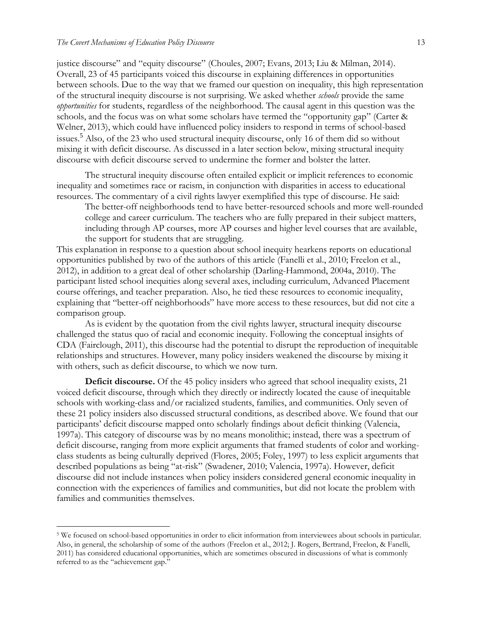$\overline{a}$ 

justice discourse" and "equity discourse" (Choules, 2007; Evans, 2013; Liu & Milman, 2014). Overall, 23 of 45 participants voiced this discourse in explaining differences in opportunities between schools. Due to the way that we framed our question on inequality, this high representation of the structural inequity discourse is not surprising. We asked whether *schools* provide the same *opportunities* for students, regardless of the neighborhood. The causal agent in this question was the schools, and the focus was on what some scholars have termed the "opportunity gap" (Carter & Welner, 2013), which could have influenced policy insiders to respond in terms of school-based issues.<sup>5</sup> Also, of the 23 who used structural inequity discourse, only 16 of them did so without mixing it with deficit discourse. As discussed in a later section below, mixing structural inequity discourse with deficit discourse served to undermine the former and bolster the latter.

The structural inequity discourse often entailed explicit or implicit references to economic inequality and sometimes race or racism, in conjunction with disparities in access to educational resources. The commentary of a civil rights lawyer exemplified this type of discourse. He said:

The better-off neighborhoods tend to have better-resourced schools and more well-rounded college and career curriculum. The teachers who are fully prepared in their subject matters, including through AP courses, more AP courses and higher level courses that are available, the support for students that are struggling.

This explanation in response to a question about school inequity hearkens reports on educational opportunities published by two of the authors of this article (Fanelli et al., 2010; Freelon et al., 2012), in addition to a great deal of other scholarship (Darling-Hammond, 2004a, 2010). The participant listed school inequities along several axes, including curriculum, Advanced Placement course offerings, and teacher preparation. Also, he tied these resources to economic inequality, explaining that "better-off neighborhoods" have more access to these resources, but did not cite a comparison group.

As is evident by the quotation from the civil rights lawyer, structural inequity discourse challenged the status quo of racial and economic inequity. Following the conceptual insights of CDA (Fairclough, 2011), this discourse had the potential to disrupt the reproduction of inequitable relationships and structures. However, many policy insiders weakened the discourse by mixing it with others, such as deficit discourse, to which we now turn.

**Deficit discourse.** Of the 45 policy insiders who agreed that school inequality exists, 21 voiced deficit discourse, through which they directly or indirectly located the cause of inequitable schools with working-class and/or racialized students, families, and communities. Only seven of these 21 policy insiders also discussed structural conditions, as described above. We found that our participants' deficit discourse mapped onto scholarly findings about deficit thinking (Valencia, 1997a). This category of discourse was by no means monolithic; instead, there was a spectrum of deficit discourse, ranging from more explicit arguments that framed students of color and workingclass students as being culturally deprived (Flores, 2005; Foley, 1997) to less explicit arguments that described populations as being "at-risk" (Swadener, 2010; Valencia, 1997a). However, deficit discourse did not include instances when policy insiders considered general economic inequality in connection with the experiences of families and communities, but did not locate the problem with families and communities themselves.

<sup>5</sup> We focused on school-based opportunities in order to elicit information from interviewees about schools in particular. Also, in general, the scholarship of some of the authors (Freelon et al., 2012; J. Rogers, Bertrand, Freelon, & Fanelli, 2011) has considered educational opportunities, which are sometimes obscured in discussions of what is commonly referred to as the "achievement gap."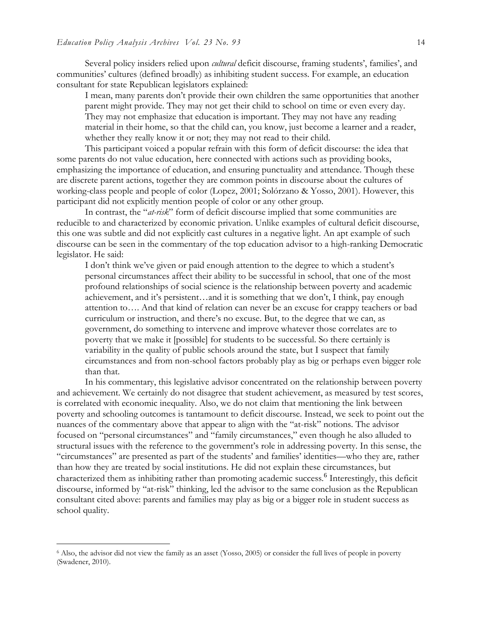Several policy insiders relied upon *cultural* deficit discourse, framing students', families', and communities' cultures (defined broadly) as inhibiting student success. For example, an education consultant for state Republican legislators explained:

I mean, many parents don't provide their own children the same opportunities that another parent might provide. They may not get their child to school on time or even every day. They may not emphasize that education is important. They may not have any reading material in their home, so that the child can, you know, just become a learner and a reader, whether they really know it or not; they may not read to their child.

This participant voiced a popular refrain with this form of deficit discourse: the idea that some parents do not value education, here connected with actions such as providing books, emphasizing the importance of education, and ensuring punctuality and attendance. Though these are discrete parent actions, together they are common points in discourse about the cultures of working-class people and people of color (Lopez, 2001; Solórzano & Yosso, 2001). However, this participant did not explicitly mention people of color or any other group.

In contrast, the "*at-risk*" form of deficit discourse implied that some communities are reducible to and characterized by economic privation. Unlike examples of cultural deficit discourse, this one was subtle and did not explicitly cast cultures in a negative light. An apt example of such discourse can be seen in the commentary of the top education advisor to a high-ranking Democratic legislator. He said:

I don't think we've given or paid enough attention to the degree to which a student's personal circumstances affect their ability to be successful in school, that one of the most profound relationships of social science is the relationship between poverty and academic achievement, and it's persistent…and it is something that we don't, I think, pay enough attention to…. And that kind of relation can never be an excuse for crappy teachers or bad curriculum or instruction, and there's no excuse. But, to the degree that we can, as government, do something to intervene and improve whatever those correlates are to poverty that we make it [possible] for students to be successful. So there certainly is variability in the quality of public schools around the state, but I suspect that family circumstances and from non-school factors probably play as big or perhaps even bigger role than that.

In his commentary, this legislative advisor concentrated on the relationship between poverty and achievement. We certainly do not disagree that student achievement, as measured by test scores, is correlated with economic inequality. Also, we do not claim that mentioning the link between poverty and schooling outcomes is tantamount to deficit discourse. Instead, we seek to point out the nuances of the commentary above that appear to align with the "at-risk" notions. The advisor focused on "personal circumstances" and "family circumstances," even though he also alluded to structural issues with the reference to the government's role in addressing poverty. In this sense, the "circumstances" are presented as part of the students' and families' identities—who they are, rather than how they are treated by social institutions. He did not explain these circumstances, but characterized them as inhibiting rather than promoting academic success.<sup>6</sup> Interestingly, this deficit discourse, informed by "at-risk" thinking, led the advisor to the same conclusion as the Republican consultant cited above: parents and families may play as big or a bigger role in student success as school quality.

 $\overline{a}$ 

<sup>6</sup> Also, the advisor did not view the family as an asset (Yosso, 2005) or consider the full lives of people in poverty (Swadener, 2010).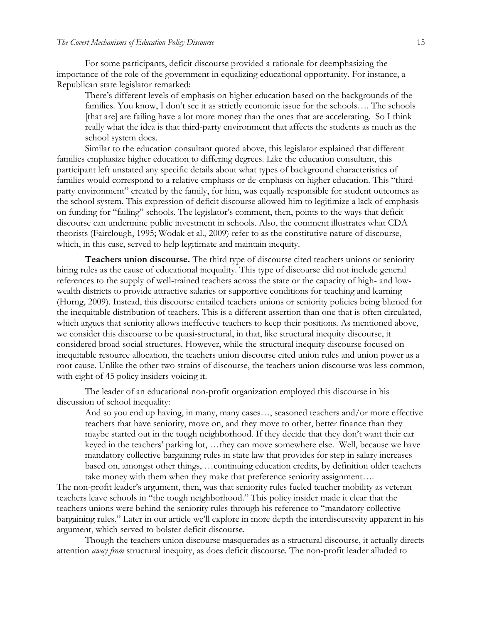For some participants, deficit discourse provided a rationale for deemphasizing the importance of the role of the government in equalizing educational opportunity. For instance, a Republican state legislator remarked:

There's different levels of emphasis on higher education based on the backgrounds of the families. You know, I don't see it as strictly economic issue for the schools…. The schools [that are] are failing have a lot more money than the ones that are accelerating. So I think really what the idea is that third-party environment that affects the students as much as the school system does.

Similar to the education consultant quoted above, this legislator explained that different families emphasize higher education to differing degrees. Like the education consultant, this participant left unstated any specific details about what types of background characteristics of families would correspond to a relative emphasis or de-emphasis on higher education. This "thirdparty environment" created by the family, for him, was equally responsible for student outcomes as the school system. This expression of deficit discourse allowed him to legitimize a lack of emphasis on funding for "failing" schools. The legislator's comment, then, points to the ways that deficit discourse can undermine public investment in schools. Also, the comment illustrates what CDA theorists (Fairclough, 1995; Wodak et al., 2009) refer to as the constitutive nature of discourse, which, in this case, served to help legitimate and maintain inequity.

**Teachers union discourse.** The third type of discourse cited teachers unions or seniority hiring rules as the cause of educational inequality. This type of discourse did not include general references to the supply of well-trained teachers across the state or the capacity of high- and lowwealth districts to provide attractive salaries or supportive conditions for teaching and learning (Horng, 2009). Instead, this discourse entailed teachers unions or seniority policies being blamed for the inequitable distribution of teachers. This is a different assertion than one that is often circulated, which argues that seniority allows ineffective teachers to keep their positions. As mentioned above, we consider this discourse to be quasi-structural, in that, like structural inequity discourse, it considered broad social structures. However, while the structural inequity discourse focused on inequitable resource allocation, the teachers union discourse cited union rules and union power as a root cause. Unlike the other two strains of discourse, the teachers union discourse was less common, with eight of 45 policy insiders voicing it.

The leader of an educational non-profit organization employed this discourse in his discussion of school inequality:

And so you end up having, in many, many cases…, seasoned teachers and/or more effective teachers that have seniority, move on, and they move to other, better finance than they maybe started out in the tough neighborhood. If they decide that they don't want their car keyed in the teachers' parking lot, …they can move somewhere else. Well, because we have mandatory collective bargaining rules in state law that provides for step in salary increases based on, amongst other things, …continuing education credits, by definition older teachers take money with them when they make that preference seniority assignment….

The non-profit leader's argument, then, was that seniority rules fueled teacher mobility as veteran teachers leave schools in "the tough neighborhood." This policy insider made it clear that the teachers unions were behind the seniority rules through his reference to "mandatory collective bargaining rules." Later in our article we'll explore in more depth the interdiscursivity apparent in his argument, which served to bolster deficit discourse.

Though the teachers union discourse masquerades as a structural discourse, it actually directs attention *away from* structural inequity, as does deficit discourse. The non-profit leader alluded to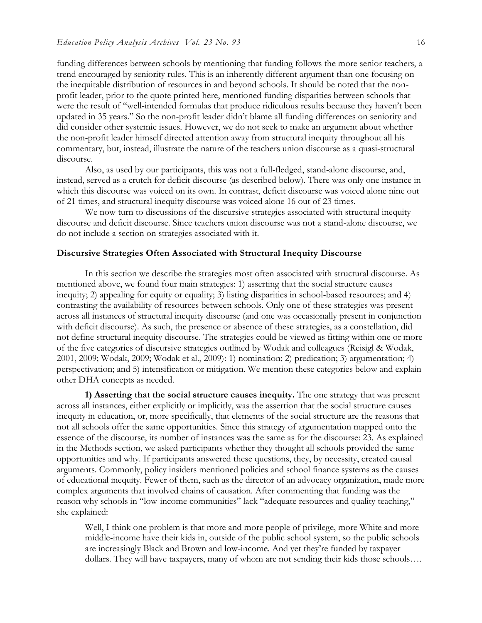funding differences between schools by mentioning that funding follows the more senior teachers, a trend encouraged by seniority rules. This is an inherently different argument than one focusing on the inequitable distribution of resources in and beyond schools. It should be noted that the nonprofit leader, prior to the quote printed here, mentioned funding disparities between schools that were the result of "well-intended formulas that produce ridiculous results because they haven't been updated in 35 years." So the non-profit leader didn't blame all funding differences on seniority and did consider other systemic issues. However, we do not seek to make an argument about whether the non-profit leader himself directed attention away from structural inequity throughout all his commentary, but, instead, illustrate the nature of the teachers union discourse as a quasi-structural discourse.

Also, as used by our participants, this was not a full-fledged, stand-alone discourse, and, instead, served as a crutch for deficit discourse (as described below). There was only one instance in which this discourse was voiced on its own. In contrast, deficit discourse was voiced alone nine out of 21 times, and structural inequity discourse was voiced alone 16 out of 23 times.

We now turn to discussions of the discursive strategies associated with structural inequity discourse and deficit discourse. Since teachers union discourse was not a stand-alone discourse, we do not include a section on strategies associated with it.

#### **Discursive Strategies Often Associated with Structural Inequity Discourse**

In this section we describe the strategies most often associated with structural discourse. As mentioned above, we found four main strategies: 1) asserting that the social structure causes inequity; 2) appealing for equity or equality; 3) listing disparities in school-based resources; and 4) contrasting the availability of resources between schools. Only one of these strategies was present across all instances of structural inequity discourse (and one was occasionally present in conjunction with deficit discourse). As such, the presence or absence of these strategies, as a constellation, did not define structural inequity discourse. The strategies could be viewed as fitting within one or more of the five categories of discursive strategies outlined by Wodak and colleagues (Reisigl & Wodak, 2001, 2009; Wodak, 2009; Wodak et al., 2009): 1) nomination; 2) predication; 3) argumentation; 4) perspectivation; and 5) intensification or mitigation. We mention these categories below and explain other DHA concepts as needed.

**1) Asserting that the social structure causes inequity.** The one strategy that was present across all instances, either explicitly or implicitly, was the assertion that the social structure causes inequity in education, or, more specifically, that elements of the social structure are the reasons that not all schools offer the same opportunities. Since this strategy of argumentation mapped onto the essence of the discourse, its number of instances was the same as for the discourse: 23. As explained in the Methods section, we asked participants whether they thought all schools provided the same opportunities and why. If participants answered these questions, they, by necessity, created causal arguments. Commonly, policy insiders mentioned policies and school finance systems as the causes of educational inequity. Fewer of them, such as the director of an advocacy organization, made more complex arguments that involved chains of causation. After commenting that funding was the reason why schools in "low-income communities" lack "adequate resources and quality teaching," she explained:

Well, I think one problem is that more and more people of privilege, more White and more middle-income have their kids in, outside of the public school system, so the public schools are increasingly Black and Brown and low-income. And yet they're funded by taxpayer dollars. They will have taxpayers, many of whom are not sending their kids those schools….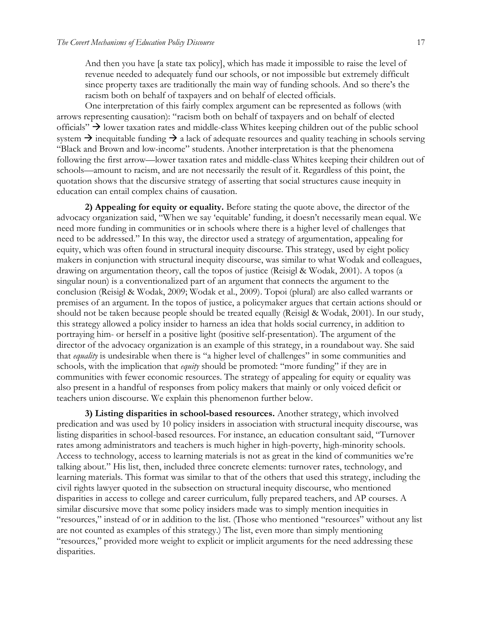And then you have [a state tax policy], which has made it impossible to raise the level of revenue needed to adequately fund our schools, or not impossible but extremely difficult since property taxes are traditionally the main way of funding schools. And so there's the racism both on behalf of taxpayers and on behalf of elected officials.

One interpretation of this fairly complex argument can be represented as follows (with arrows representing causation): "racism both on behalf of taxpayers and on behalf of elected officials"  $\rightarrow$  lower taxation rates and middle-class Whites keeping children out of the public school system  $\rightarrow$  inequitable funding  $\rightarrow$  a lack of adequate resources and quality teaching in schools serving "Black and Brown and low-income" students. Another interpretation is that the phenomena following the first arrow—lower taxation rates and middle-class Whites keeping their children out of schools—amount to racism, and are not necessarily the result of it. Regardless of this point, the quotation shows that the discursive strategy of asserting that social structures cause inequity in education can entail complex chains of causation.

**2) Appealing for equity or equality.** Before stating the quote above, the director of the advocacy organization said, "When we say 'equitable' funding, it doesn't necessarily mean equal. We need more funding in communities or in schools where there is a higher level of challenges that need to be addressed." In this way, the director used a strategy of argumentation, appealing for equity, which was often found in structural inequity discourse. This strategy, used by eight policy makers in conjunction with structural inequity discourse, was similar to what Wodak and colleagues, drawing on argumentation theory, call the topos of justice (Reisigl & Wodak, 2001). A topos (a singular noun) is a conventionalized part of an argument that connects the argument to the conclusion (Reisigl & Wodak, 2009; Wodak et al., 2009). Topoi (plural) are also called warrants or premises of an argument. In the topos of justice, a policymaker argues that certain actions should or should not be taken because people should be treated equally (Reisigl & Wodak, 2001). In our study, this strategy allowed a policy insider to harness an idea that holds social currency, in addition to portraying him- or herself in a positive light (positive self-presentation). The argument of the director of the advocacy organization is an example of this strategy, in a roundabout way. She said that *equality* is undesirable when there is "a higher level of challenges" in some communities and schools, with the implication that *equity* should be promoted: "more funding" if they are in communities with fewer economic resources. The strategy of appealing for equity or equality was also present in a handful of responses from policy makers that mainly or only voiced deficit or teachers union discourse. We explain this phenomenon further below.

**3) Listing disparities in school-based resources.** Another strategy, which involved predication and was used by 10 policy insiders in association with structural inequity discourse, was listing disparities in school-based resources. For instance, an education consultant said, "Turnover rates among administrators and teachers is much higher in high-poverty, high-minority schools. Access to technology, access to learning materials is not as great in the kind of communities we're talking about." His list, then, included three concrete elements: turnover rates, technology, and learning materials. This format was similar to that of the others that used this strategy, including the civil rights lawyer quoted in the subsection on structural inequity discourse, who mentioned disparities in access to college and career curriculum, fully prepared teachers, and AP courses. A similar discursive move that some policy insiders made was to simply mention inequities in "resources," instead of or in addition to the list. (Those who mentioned "resources" without any list are not counted as examples of this strategy.) The list, even more than simply mentioning "resources," provided more weight to explicit or implicit arguments for the need addressing these disparities.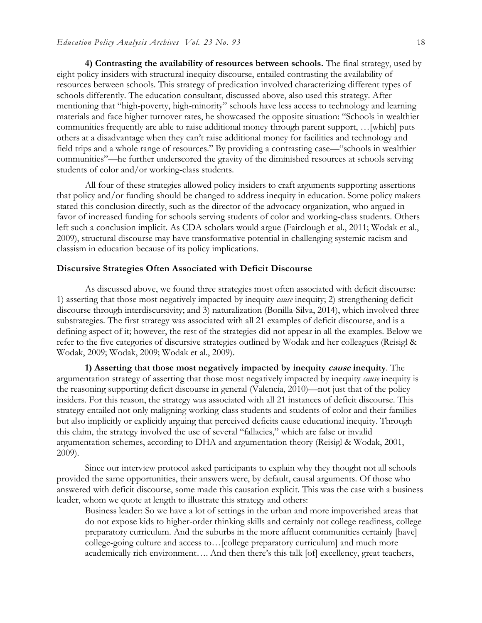**4) Contrasting the availability of resources between schools.** The final strategy, used by eight policy insiders with structural inequity discourse, entailed contrasting the availability of resources between schools. This strategy of predication involved characterizing different types of schools differently. The education consultant, discussed above, also used this strategy. After mentioning that "high-poverty, high-minority" schools have less access to technology and learning materials and face higher turnover rates, he showcased the opposite situation: "Schools in wealthier communities frequently are able to raise additional money through parent support, …[which] puts others at a disadvantage when they can't raise additional money for facilities and technology and field trips and a whole range of resources." By providing a contrasting case—"schools in wealthier communities"—he further underscored the gravity of the diminished resources at schools serving students of color and/or working-class students.

All four of these strategies allowed policy insiders to craft arguments supporting assertions that policy and/or funding should be changed to address inequity in education. Some policy makers stated this conclusion directly, such as the director of the advocacy organization, who argued in favor of increased funding for schools serving students of color and working-class students. Others left such a conclusion implicit. As CDA scholars would argue (Fairclough et al., 2011; Wodak et al., 2009), structural discourse may have transformative potential in challenging systemic racism and classism in education because of its policy implications.

#### **Discursive Strategies Often Associated with Deficit Discourse**

As discussed above, we found three strategies most often associated with deficit discourse: 1) asserting that those most negatively impacted by inequity *cause* inequity; 2) strengthening deficit discourse through interdiscursivity; and 3) naturalization (Bonilla-Silva, 2014), which involved three substrategies. The first strategy was associated with all 21 examples of deficit discourse, and is a defining aspect of it; however, the rest of the strategies did not appear in all the examples. Below we refer to the five categories of discursive strategies outlined by Wodak and her colleagues (Reisigl & Wodak, 2009; Wodak, 2009; Wodak et al., 2009).

**1) Asserting that those most negatively impacted by inequity cause inequity**. The argumentation strategy of asserting that those most negatively impacted by inequity *cause* inequity is the reasoning supporting deficit discourse in general (Valencia, 2010)—not just that of the policy insiders. For this reason, the strategy was associated with all 21 instances of deficit discourse. This strategy entailed not only maligning working-class students and students of color and their families but also implicitly or explicitly arguing that perceived deficits cause educational inequity. Through this claim, the strategy involved the use of several "fallacies," which are false or invalid argumentation schemes, according to DHA and argumentation theory (Reisigl & Wodak, 2001, 2009).

Since our interview protocol asked participants to explain why they thought not all schools provided the same opportunities, their answers were, by default, causal arguments. Of those who answered with deficit discourse, some made this causation explicit. This was the case with a business leader, whom we quote at length to illustrate this strategy and others:

Business leader: So we have a lot of settings in the urban and more impoverished areas that do not expose kids to higher-order thinking skills and certainly not college readiness, college preparatory curriculum. And the suburbs in the more affluent communities certainly [have] college-going culture and access to…[college preparatory curriculum] and much more academically rich environment…. And then there's this talk [of] excellency, great teachers,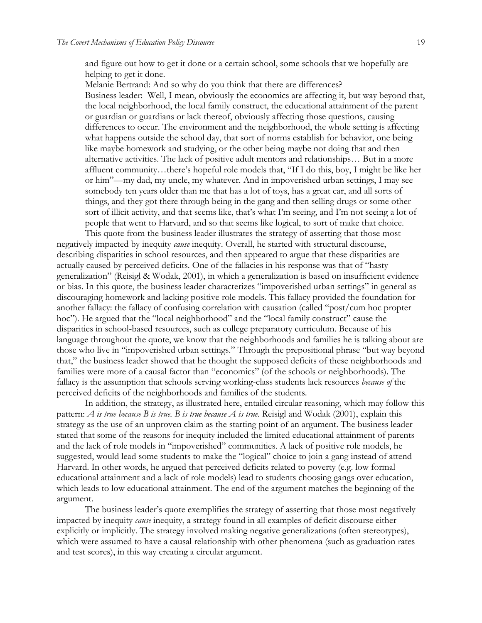and figure out how to get it done or a certain school, some schools that we hopefully are helping to get it done.

Melanie Bertrand: And so why do you think that there are differences? Business leader: Well, I mean, obviously the economics are affecting it, but way beyond that, the local neighborhood, the local family construct, the educational attainment of the parent or guardian or guardians or lack thereof, obviously affecting those questions, causing differences to occur. The environment and the neighborhood, the whole setting is affecting what happens outside the school day, that sort of norms establish for behavior, one being like maybe homework and studying, or the other being maybe not doing that and then alternative activities. The lack of positive adult mentors and relationships… But in a more affluent community…there's hopeful role models that, "If I do this, boy, I might be like her or him"—my dad, my uncle, my whatever. And in impoverished urban settings, I may see somebody ten years older than me that has a lot of toys, has a great car, and all sorts of things, and they got there through being in the gang and then selling drugs or some other sort of illicit activity, and that seems like, that's what I'm seeing, and I'm not seeing a lot of people that went to Harvard, and so that seems like logical, to sort of make that choice.

This quote from the business leader illustrates the strategy of asserting that those most negatively impacted by inequity *cause* inequity. Overall, he started with structural discourse, describing disparities in school resources, and then appeared to argue that these disparities are actually caused by perceived deficits. One of the fallacies in his response was that of "hasty generalization" (Reisigl & Wodak, 2001), in which a generalization is based on insufficient evidence or bias. In this quote, the business leader characterizes "impoverished urban settings" in general as discouraging homework and lacking positive role models. This fallacy provided the foundation for another fallacy: the fallacy of confusing correlation with causation (called "post/cum hoc propter hoc"). He argued that the "local neighborhood" and the "local family construct" cause the disparities in school-based resources, such as college preparatory curriculum. Because of his language throughout the quote, we know that the neighborhoods and families he is talking about are those who live in "impoverished urban settings." Through the prepositional phrase "but way beyond that," the business leader showed that he thought the supposed deficits of these neighborhoods and families were more of a causal factor than "economics" (of the schools or neighborhoods). The fallacy is the assumption that schools serving working-class students lack resources *because of* the perceived deficits of the neighborhoods and families of the students.

In addition, the strategy, as illustrated here, entailed circular reasoning, which may follow this pattern: *A is true because B is true. B is true because A is true*. Reisigl and Wodak (2001), explain this strategy as the use of an unproven claim as the starting point of an argument. The business leader stated that some of the reasons for inequity included the limited educational attainment of parents and the lack of role models in "impoverished" communities. A lack of positive role models, he suggested, would lead some students to make the "logical" choice to join a gang instead of attend Harvard. In other words, he argued that perceived deficits related to poverty (e.g. low formal educational attainment and a lack of role models) lead to students choosing gangs over education, which leads to low educational attainment. The end of the argument matches the beginning of the argument.

The business leader's quote exemplifies the strategy of asserting that those most negatively impacted by inequity *cause* inequity, a strategy found in all examples of deficit discourse either explicitly or implicitly. The strategy involved making negative generalizations (often stereotypes), which were assumed to have a causal relationship with other phenomena (such as graduation rates and test scores), in this way creating a circular argument.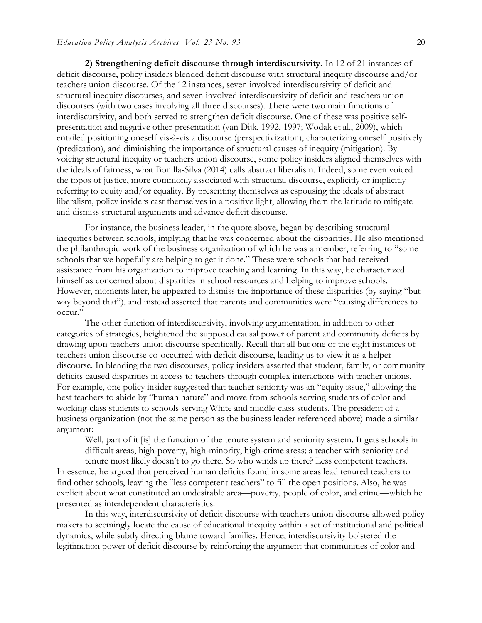**2) Strengthening deficit discourse through interdiscursivity.** In 12 of 21 instances of deficit discourse, policy insiders blended deficit discourse with structural inequity discourse and/or teachers union discourse. Of the 12 instances, seven involved interdiscursivity of deficit and structural inequity discourses, and seven involved interdiscursivity of deficit and teachers union discourses (with two cases involving all three discourses). There were two main functions of interdiscursivity, and both served to strengthen deficit discourse. One of these was positive selfpresentation and negative other-presentation (van Dijk, 1992, 1997; Wodak et al., 2009), which entailed positioning oneself vis-à-vis a discourse (perspectivization), characterizing oneself positively (predication), and diminishing the importance of structural causes of inequity (mitigation). By voicing structural inequity or teachers union discourse, some policy insiders aligned themselves with the ideals of fairness, what Bonilla-Silva (2014) calls abstract liberalism. Indeed, some even voiced the topos of justice, more commonly associated with structural discourse, explicitly or implicitly referring to equity and/or equality. By presenting themselves as espousing the ideals of abstract liberalism, policy insiders cast themselves in a positive light, allowing them the latitude to mitigate and dismiss structural arguments and advance deficit discourse.

For instance, the business leader, in the quote above, began by describing structural inequities between schools, implying that he was concerned about the disparities. He also mentioned the philanthropic work of the business organization of which he was a member, referring to "some schools that we hopefully are helping to get it done." These were schools that had received assistance from his organization to improve teaching and learning. In this way, he characterized himself as concerned about disparities in school resources and helping to improve schools. However, moments later, he appeared to dismiss the importance of these disparities (by saying "but way beyond that"), and instead asserted that parents and communities were "causing differences to occur."

The other function of interdiscursivity, involving argumentation, in addition to other categories of strategies, heightened the supposed causal power of parent and community deficits by drawing upon teachers union discourse specifically. Recall that all but one of the eight instances of teachers union discourse co-occurred with deficit discourse, leading us to view it as a helper discourse. In blending the two discourses, policy insiders asserted that student, family, or community deficits caused disparities in access to teachers through complex interactions with teacher unions. For example, one policy insider suggested that teacher seniority was an "equity issue," allowing the best teachers to abide by "human nature" and move from schools serving students of color and working-class students to schools serving White and middle-class students. The president of a business organization (not the same person as the business leader referenced above) made a similar argument:

Well, part of it [is] the function of the tenure system and seniority system. It gets schools in difficult areas, high-poverty, high-minority, high-crime areas; a teacher with seniority and

tenure most likely doesn't to go there. So who winds up there? Less competent teachers. In essence, he argued that perceived human deficits found in some areas lead tenured teachers to find other schools, leaving the "less competent teachers" to fill the open positions. Also, he was explicit about what constituted an undesirable area—poverty, people of color, and crime—which he presented as interdependent characteristics.

In this way, interdiscursivity of deficit discourse with teachers union discourse allowed policy makers to seemingly locate the cause of educational inequity within a set of institutional and political dynamics, while subtly directing blame toward families. Hence, interdiscursivity bolstered the legitimation power of deficit discourse by reinforcing the argument that communities of color and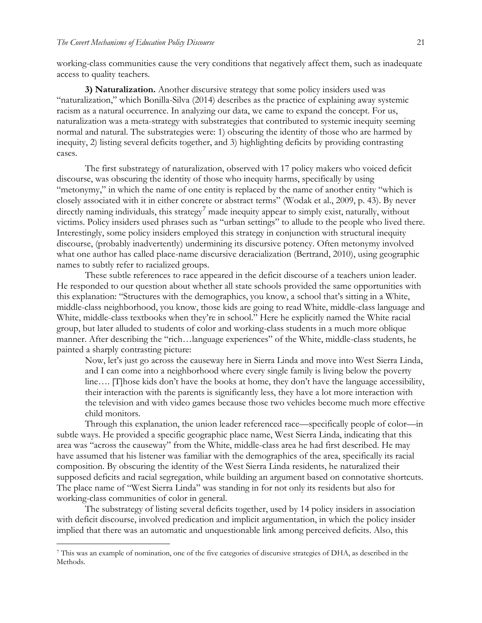working-class communities cause the very conditions that negatively affect them, such as inadequate access to quality teachers.

**3) Naturalization.** Another discursive strategy that some policy insiders used was "naturalization," which Bonilla-Silva (2014) describes as the practice of explaining away systemic racism as a natural occurrence. In analyzing our data, we came to expand the concept. For us, naturalization was a meta-strategy with substrategies that contributed to systemic inequity seeming normal and natural. The substrategies were: 1) obscuring the identity of those who are harmed by inequity, 2) listing several deficits together, and 3) highlighting deficits by providing contrasting cases.

The first substrategy of naturalization, observed with 17 policy makers who voiced deficit discourse, was obscuring the identity of those who inequity harms, specifically by using "metonymy," in which the name of one entity is replaced by the name of another entity "which is closely associated with it in either concrete or abstract terms" (Wodak et al., 2009, p. 43). By never directly naming individuals, this strategy<sup>7</sup> made inequity appear to simply exist, naturally, without victims. Policy insiders used phrases such as "urban settings" to allude to the people who lived there. Interestingly, some policy insiders employed this strategy in conjunction with structural inequity discourse, (probably inadvertently) undermining its discursive potency. Often metonymy involved what one author has called place-name discursive deracialization (Bertrand, 2010), using geographic names to subtly refer to racialized groups.

These subtle references to race appeared in the deficit discourse of a teachers union leader. He responded to our question about whether all state schools provided the same opportunities with this explanation: "Structures with the demographics, you know, a school that's sitting in a White, middle-class neighborhood, you know, those kids are going to read White, middle-class language and White, middle-class textbooks when they're in school." Here he explicitly named the White racial group, but later alluded to students of color and working-class students in a much more oblique manner. After describing the "rich…language experiences" of the White, middle-class students, he painted a sharply contrasting picture:

Now, let's just go across the causeway here in Sierra Linda and move into West Sierra Linda, and I can come into a neighborhood where every single family is living below the poverty line…. [T]hose kids don't have the books at home, they don't have the language accessibility, their interaction with the parents is significantly less, they have a lot more interaction with the television and with video games because those two vehicles become much more effective child monitors.

Through this explanation, the union leader referenced race—specifically people of color—in subtle ways. He provided a specific geographic place name, West Sierra Linda, indicating that this area was "across the causeway" from the White, middle-class area he had first described. He may have assumed that his listener was familiar with the demographics of the area, specifically its racial composition. By obscuring the identity of the West Sierra Linda residents, he naturalized their supposed deficits and racial segregation, while building an argument based on connotative shortcuts. The place name of "West Sierra Linda" was standing in for not only its residents but also for working-class communities of color in general.

The substrategy of listing several deficits together, used by 14 policy insiders in association with deficit discourse, involved predication and implicit argumentation, in which the policy insider implied that there was an automatic and unquestionable link among perceived deficits. Also, this

 $\overline{a}$ 

<sup>7</sup> This was an example of nomination, one of the five categories of discursive strategies of DHA, as described in the Methods.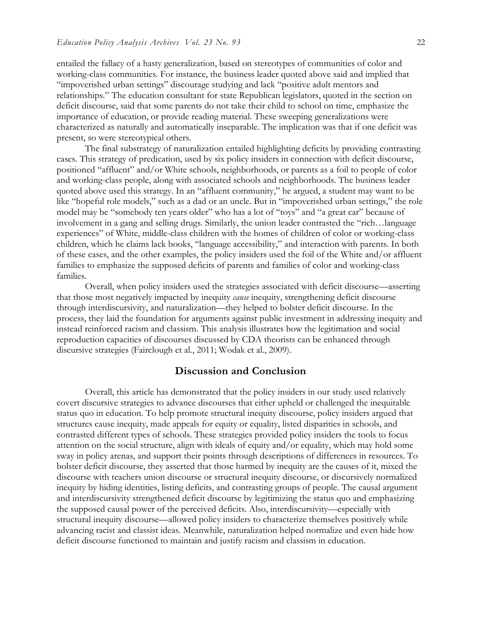entailed the fallacy of a hasty generalization, based on stereotypes of communities of color and working-class communities. For instance, the business leader quoted above said and implied that "impoverished urban settings" discourage studying and lack "positive adult mentors and relationships." The education consultant for state Republican legislators, quoted in the section on deficit discourse, said that some parents do not take their child to school on time, emphasize the importance of education, or provide reading material. These sweeping generalizations were characterized as naturally and automatically inseparable. The implication was that if one deficit was present, so were stereotypical others.

The final substrategy of naturalization entailed highlighting deficits by providing contrasting cases. This strategy of predication, used by six policy insiders in connection with deficit discourse, positioned "affluent" and/or White schools, neighborhoods, or parents as a foil to people of color and working-class people, along with associated schools and neighborhoods. The business leader quoted above used this strategy. In an "affluent community," he argued, a student may want to be like "hopeful role models," such as a dad or an uncle. But in "impoverished urban settings," the role model may be "somebody ten years older" who has a lot of "toys" and "a great car" because of involvement in a gang and selling drugs. Similarly, the union leader contrasted the "rich…language experiences" of White, middle-class children with the homes of children of color or working-class children, which he claims lack books, "language accessibility," and interaction with parents. In both of these cases, and the other examples, the policy insiders used the foil of the White and/or affluent families to emphasize the supposed deficits of parents and families of color and working-class families.

Overall, when policy insiders used the strategies associated with deficit discourse—asserting that those most negatively impacted by inequity *cause* inequity, strengthening deficit discourse through interdiscursivity, and naturalization—they helped to bolster deficit discourse. In the process, they laid the foundation for arguments against public investment in addressing inequity and instead reinforced racism and classism. This analysis illustrates how the legitimation and social reproduction capacities of discourses discussed by CDA theorists can be enhanced through discursive strategies (Fairclough et al., 2011; Wodak et al., 2009).

#### **Discussion and Conclusion**

Overall, this article has demonstrated that the policy insiders in our study used relatively covert discursive strategies to advance discourses that either upheld or challenged the inequitable status quo in education. To help promote structural inequity discourse, policy insiders argued that structures cause inequity, made appeals for equity or equality, listed disparities in schools, and contrasted different types of schools. These strategies provided policy insiders the tools to focus attention on the social structure, align with ideals of equity and/or equality, which may hold some sway in policy arenas, and support their points through descriptions of differences in resources. To bolster deficit discourse, they asserted that those harmed by inequity are the causes of it, mixed the discourse with teachers union discourse or structural inequity discourse, or discursively normalized inequity by hiding identities, listing deficits, and contrasting groups of people. The causal argument and interdiscursivity strengthened deficit discourse by legitimizing the status quo and emphasizing the supposed causal power of the perceived deficits. Also, interdiscursivity—especially with structural inequity discourse—allowed policy insiders to characterize themselves positively while advancing racist and classist ideas. Meanwhile, naturalization helped normalize and even hide how deficit discourse functioned to maintain and justify racism and classism in education.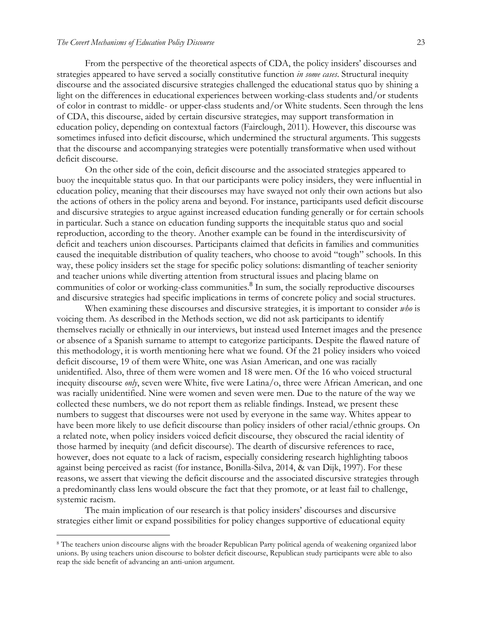$\overline{a}$ 

From the perspective of the theoretical aspects of CDA, the policy insiders' discourses and strategies appeared to have served a socially constitutive function *in some cases*. Structural inequity discourse and the associated discursive strategies challenged the educational status quo by shining a light on the differences in educational experiences between working-class students and/or students of color in contrast to middle- or upper-class students and/or White students. Seen through the lens of CDA, this discourse, aided by certain discursive strategies, may support transformation in education policy, depending on contextual factors (Fairclough, 2011). However, this discourse was sometimes infused into deficit discourse, which undermined the structural arguments. This suggests that the discourse and accompanying strategies were potentially transformative when used without deficit discourse.

On the other side of the coin, deficit discourse and the associated strategies appeared to buoy the inequitable status quo. In that our participants were policy insiders, they were influential in education policy, meaning that their discourses may have swayed not only their own actions but also the actions of others in the policy arena and beyond. For instance, participants used deficit discourse and discursive strategies to argue against increased education funding generally or for certain schools in particular. Such a stance on education funding supports the inequitable status quo and social reproduction, according to the theory. Another example can be found in the interdiscursivity of deficit and teachers union discourses. Participants claimed that deficits in families and communities caused the inequitable distribution of quality teachers, who choose to avoid "tough" schools. In this way, these policy insiders set the stage for specific policy solutions: dismantling of teacher seniority and teacher unions while diverting attention from structural issues and placing blame on communities of color or working-class communities.<sup>8</sup> In sum, the socially reproductive discourses and discursive strategies had specific implications in terms of concrete policy and social structures.

When examining these discourses and discursive strategies, it is important to consider *who* is voicing them. As described in the Methods section, we did not ask participants to identify themselves racially or ethnically in our interviews, but instead used Internet images and the presence or absence of a Spanish surname to attempt to categorize participants. Despite the flawed nature of this methodology, it is worth mentioning here what we found. Of the 21 policy insiders who voiced deficit discourse, 19 of them were White, one was Asian American, and one was racially unidentified. Also, three of them were women and 18 were men. Of the 16 who voiced structural inequity discourse *only*, seven were White, five were Latina/o, three were African American, and one was racially unidentified. Nine were women and seven were men. Due to the nature of the way we collected these numbers, we do not report them as reliable findings. Instead, we present these numbers to suggest that discourses were not used by everyone in the same way. Whites appear to have been more likely to use deficit discourse than policy insiders of other racial/ethnic groups. On a related note, when policy insiders voiced deficit discourse, they obscured the racial identity of those harmed by inequity (and deficit discourse). The dearth of discursive references to race, however, does not equate to a lack of racism, especially considering research highlighting taboos against being perceived as racist (for instance, Bonilla-Silva, 2014, & van Dijk, 1997). For these reasons, we assert that viewing the deficit discourse and the associated discursive strategies through a predominantly class lens would obscure the fact that they promote, or at least fail to challenge, systemic racism.

The main implication of our research is that policy insiders' discourses and discursive strategies either limit or expand possibilities for policy changes supportive of educational equity

<sup>8</sup> The teachers union discourse aligns with the broader Republican Party political agenda of weakening organized labor unions. By using teachers union discourse to bolster deficit discourse, Republican study participants were able to also reap the side benefit of advancing an anti-union argument.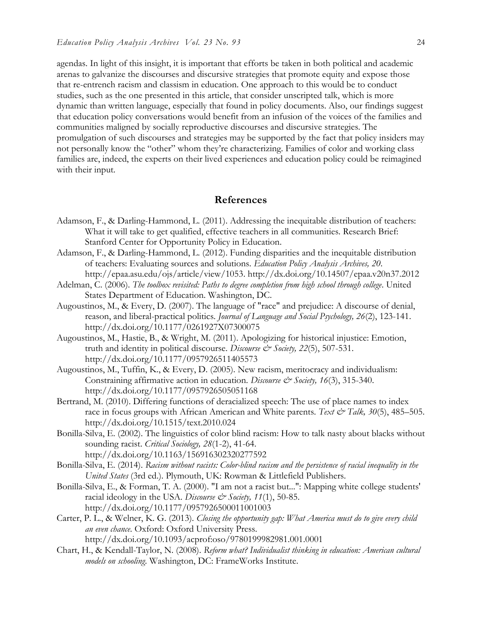agendas. In light of this insight, it is important that efforts be taken in both political and academic arenas to galvanize the discourses and discursive strategies that promote equity and expose those that re-entrench racism and classism in education. One approach to this would be to conduct studies, such as the one presented in this article, that consider unscripted talk, which is more dynamic than written language, especially that found in policy documents. Also, our findings suggest that education policy conversations would benefit from an infusion of the voices of the families and communities maligned by socially reproductive discourses and discursive strategies. The promulgation of such discourses and strategies may be supported by the fact that policy insiders may not personally know the "other" whom they're characterizing. Families of color and working class families are, indeed, the experts on their lived experiences and education policy could be reimagined with their input.

#### **References**

- Adamson, F., & Darling-Hammond, L. (2011). Addressing the inequitable distribution of teachers: What it will take to get qualified, effective teachers in all communities. Research Brief: Stanford Center for Opportunity Policy in Education.
- Adamson, F., & Darling-Hammond, L. (2012). Funding disparities and the inequitable distribution of teachers: Evaluating sources and solutions. *Education Policy Analysis Archives, 20*. [http://epaa.asu.edu/ojs/article/view/1053.](http://epaa.asu.edu/ojs/article/view/1053)<http://dx.doi.org/10.14507/epaa.v20n37.2012>
- Adelman, C. (2006). *The toolbox revisited: Paths to degree completion from high school through college*. United States Department of Education. Washington, DC.
- Augoustinos, M., & Every, D. (2007). The language of "race" and prejudice: A discourse of denial, reason, and liberal-practical politics. *Journal of Language and Social Psychology, 26*(2), 123-141. <http://dx.doi.org/10.1177/0261927X07300075>
- Augoustinos, M., Hastie, B., & Wright, M. (2011). Apologizing for historical injustice: Emotion, truth and identity in political discourse. *Discourse & Society, 22*(5), 507-531. <http://dx.doi.org/10.1177/0957926511405573>
- Augoustinos, M., Tuffin, K., & Every, D. (2005). New racism, meritocracy and individualism: Constraining affirmative action in education. *Discourse & Society*, 16(3), 315-340. <http://dx.doi.org/10.1177/0957926505051168>
- Bertrand, M. (2010). Differing functions of deracialized speech: The use of place names to index race in focus groups with African American and White parents. *Text & Talk, 30*(5), 485–505. <http://dx.doi.org/10.1515/text.2010.024>
- Bonilla-Silva, E. (2002). The linguistics of color blind racism: How to talk nasty about blacks without sounding racist. *Critical Sociology, 28*(1-2), 41-64. <http://dx.doi.org/10.1163/156916302320277592>
- Bonilla-Silva, E. (2014). *Racism without racists: Color-blind racism and the persistence of racial inequality in the United States* (3rd ed.). Plymouth, UK: Rowman & Littlefield Publishers.
- Bonilla-Silva, E., & Forman, T. A. (2000). "I am not a racist but...": Mapping white college students' racial ideology in the USA. *Discourse*  $\mathcal{Q}^*$  Society, 11(1), 50-85. <http://dx.doi.org/10.1177/0957926500011001003>
- Carter, P. L., & Welner, K. G. (2013). *Closing the opportunity gap: What America must do to give every child an even chance*. Oxford: Oxford University Press. <http://dx.doi.org/10.1093/acprof:oso/9780199982981.001.0001>
- Chart, H., & Kendall-Taylor, N. (2008). *Reform what? Individualist thinking in education: American cultural models on schooling*. Washington, DC: FrameWorks Institute.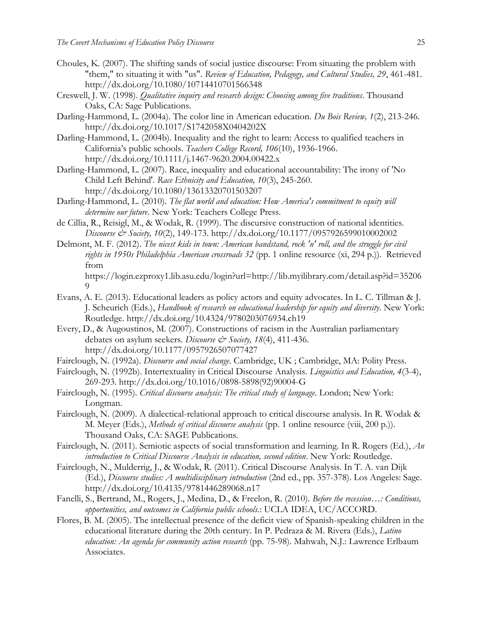- Choules, K. (2007). The shifting sands of social justice discourse: From situating the problem with "them," to situating it with "us". *Review of Education, Pedagogy, and Cultural Studies, 29*, 461-481. <http://dx.doi.org/10.1080/10714410701566348>
- Creswell, J. W. (1998). *Qualitative inquiry and research design: Choosing among five traditions*. Thousand Oaks, CA: Sage Publications.
- Darling-Hammond, L. (2004a). The color line in American education. *Du Bois Review, 1*(2), 213-246. <http://dx.doi.org/10.1017/S1742058X0404202X>
- Darling-Hammond, L. (2004b). Inequality and the right to learn: Access to qualified teachers in California's public schools. *Teachers College Record, 106*(10), 1936-1966. <http://dx.doi.org/10.1111/j.1467-9620.2004.00422.x>
- Darling-Hammond, L. (2007). Race, inequality and educational accountability: The irony of 'No Child Left Behind'. *Race Ethnicity and Education, 10*(3), 245-260. <http://dx.doi.org/10.1080/13613320701503207>
- Darling-Hammond, L. (2010). *The flat world and education: How America's commitment to equity will determine our future*. New York: Teachers College Press.
- de Cillia, R., Reisigl, M., & Wodak, R. (1999). The discursive construction of national identities. *Discourse & Society, 10*(2), 149-173.<http://dx.doi.org/10.1177/0957926599010002002>
- Delmont, M. F. (2012). *The nicest kids in town: American bandstand, rock 'n' roll, and the struggle for civil rights in 1950s Philadelphia American crossroads 32* (pp. 1 online resource (xi, 294 p.)). Retrieved from

- Evans, A. E. (2013). Educational leaders as policy actors and equity advocates. In L. C. Tillman & J. J. Scheurich (Eds.), *Handbook of research on educational leadership for equity and diversity*. New York: Routledge. <http://dx.doi.org/10.4324/9780203076934.ch19>
- Every, D., & Augoustinos, M. (2007). Constructions of racism in the Australian parliamentary debates on asylum seekers. *Discourse & Society*, 18(4), 411-436. <http://dx.doi.org/10.1177/0957926507077427>
- Fairclough, N. (1992a). *Discourse and social change*. Cambridge, UK ; Cambridge, MA: Polity Press.
- Fairclough, N. (1992b). Intertextuality in Critical Discourse Analysis. *Linguistics and Education, 4*(3-4), 269-293. [http://dx.doi.org/10.1016/0898-5898\(92\)90004-G](http://dx.doi.org/10.1016/0898-5898%2892%2990004-G)
- Fairclough, N. (1995). *Critical discourse analysis: The critical study of language*. London; New York: Longman.
- Fairclough, N. (2009). A dialectical-relational approach to critical discourse analysis. In R. Wodak & M. Meyer (Eds.), *Methods of critical discourse analysis* (pp. 1 online resource (viii, 200 p.)). Thousand Oaks, CA: SAGE Publications.
- Fairclough, N. (2011). Semiotic aspects of social transformation and learning. In R. Rogers (Ed.), *An introduction to Critical Discourse Analysis in education, second edition*. New York: Routledge.
- Fairclough, N., Mulderrig, J., & Wodak, R. (2011). Critical Discourse Analysis. In T. A. van Dijk (Ed.), *Discourse studies: A multidisciplinary introduction* (2nd ed., pp. 357-378). Los Angeles: Sage. <http://dx.doi.org/10.4135/9781446289068.n17>
- Fanelli, S., Bertrand, M., Rogers, J., Medina, D., & Freelon, R. (2010). *Before the recession…: Conditions, opportunities, and outcomes in California public schools.*: UCLA IDEA, UC/ACCORD.
- Flores, B. M. (2005). The intellectual presence of the deficit view of Spanish-speaking children in the educational literature during the 20th century. In P. Pedraza & M. Rivera (Eds.), *Latino education: An agenda for community action research* (pp. 75-98). Mahwah, N.J.: Lawrence Erlbaum Associates.

https://login.ezproxy1.lib.asu.edu/login?url=http://lib.myilibrary.com/detail.asp?id=35206 9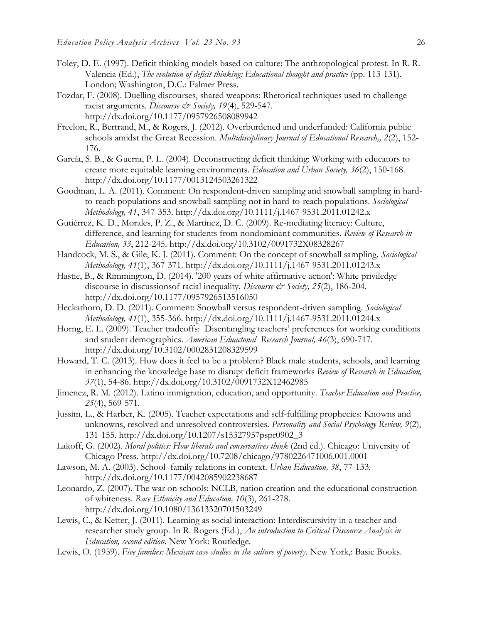- Foley, D. E. (1997). Deficit thinking models based on culture: The anthropological protest. In R. R. Valencia (Ed.), *The evolution of deficit thinking: Educational thought and practice* (pp. 113-131). London; Washington, D.C.: Falmer Press.
- Fozdar, F. (2008). Duelling discourses, shared weapons: Rhetorical techniques used to challenge racist arguments. *Discourse & Society*, 19(4), 529-547. <http://dx.doi.org/10.1177/0957926508089942>
- Freelon, R., Bertrand, M., & Rogers, J. (2012). Overburdened and underfunded: California public schools amidst the Great Recession. *Multidisciplinary Journal of Educational Research,, 2*(2), 152- 176.
- García, S. B., & Guerra, P. L. (2004). Deconstructing deficit thinking: Working with educators to create more equitable learning environments. *Education and Urban Society, 36*(2), 150-168. <http://dx.doi.org/10.1177/0013124503261322>
- Goodman, L. A. (2011). Comment: On respondent-driven sampling and snowball sampling in hardto-reach populations and snowball sampling not in hard-to-reach populations. *Sociological Methodology, 41*, 347-353.<http://dx.doi.org/10.1111/j.1467-9531.2011.01242.x>
- Gutiérrez, K. D., Morales, P. Z., & Martinez, D. C. (2009). Re-mediating literacy: Culture, difference, and learning for students from nondominant communities. *Review of Research in Education, 33*, 212-245.<http://dx.doi.org/10.3102/0091732X08328267>
- Handcock, M. S., & Gile, K. J. (2011). Comment: On the concept of snowball sampling. *Sociological Methodology, 41*(1), 367-371.<http://dx.doi.org/10.1111/j.1467-9531.2011.01243.x>
- Hastie, B., & Rimmington, D. (2014). '200 years of white affirmative action': White priviledge discourse in discussions of racial inequality. *Discourse & Society*, 25(2), 186-204. <http://dx.doi.org/10.1177/0957926513516050>
- Heckathorn, D. D. (2011). Comment: Snowball versus respondent-driven sampling. *Sociological Methodology, 41*(1), 355-366.<http://dx.doi.org/10.1111/j.1467-9531.2011.01244.x>
- Horng, E. L. (2009). Teacher tradeoffs: Disentangling teachers' preferences for working conditions and student demographics. *American Eduactonal Research Journal, 46*(3), 690-717. <http://dx.doi.org/10.3102/0002831208329599>
- Howard, T. C. (2013). How does it feel to be a problem? Black male students, schools, and learning in enhancing the knowledge base to disrupt deficit frameworks *Review of Research in Education, 37*(1), 54-86.<http://dx.doi.org/10.3102/0091732X12462985>
- Jimenez, R. M. (2012). Latino immigration, education, and opportunity. *Teacher Education and Practice, 25*(4), 569-571.
- Jussim, L., & Harber, K. (2005). Teacher expectations and self-fulfilling prophecies: Knowns and unknowns, resolved and unresolved controversies. *Personality and Social Psychology Review, 9*(2), 131-155. [http://dx.doi.org/10.1207/s15327957pspr0902\\_3](http://dx.doi.org/10.1207/s15327957pspr0902_3)
- Lakoff, G. (2002). *Moral politics: How liberals and conservatives think* (2nd ed.). Chicago: University of Chicago Press. <http://dx.doi.org/10.7208/chicago/9780226471006.001.0001>
- Lawson, M. A. (2003). School–family relations in context. *Urban Education, 38*, 77-133. <http://dx.doi.org/10.1177/0042085902238687>
- Leonardo, Z. (2007). The war on schools: NCLB, nation creation and the educational construction of whiteness. *Race Ethnicity and Education, 10*(3), 261-278. <http://dx.doi.org/10.1080/13613320701503249>
- Lewis, C., & Ketter, J. (2011). Learning as social interaction: Interdiscursivity in a teacher and researcher study group. In R. Rogers (Ed.), *An introduction to Critical Discourse Analysis in Education, second edition*. New York: Routledge.
- Lewis, O. (1959). *Five families: Mexican case studies in the culture of poverty*. New York,: Basic Books.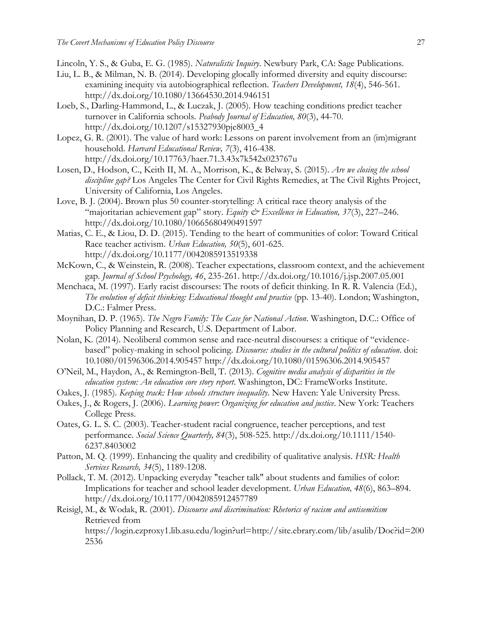Lincoln, Y. S., & Guba, E. G. (1985). *Naturalistic Inquiry*. Newbury Park, CA: Sage Publications.

- Liu, L. B., & Milman, N. B. (2014). Developing glocally informed diversity and equity discourse: examining inequity via autobiographical reflection. *Teachers Development, 18*(4), 546-561. <http://dx.doi.org/10.1080/13664530.2014.946151>
- Loeb, S., Darling-Hammond, L., & Luczak, J. (2005). How teaching conditions predict teacher turnover in California schools. *Peabody Journal of Education, 80*(3), 44-70. [http://dx.doi.org/10.1207/s15327930pje8003\\_4](http://dx.doi.org/10.1207/s15327930pje8003_4)
- Lopez, G. R. (2001). The value of hard work: Lessons on parent involvement from an (im)migrant household. *Harvard Educational Review, 7*(3), 416-438. <http://dx.doi.org/10.17763/haer.71.3.43x7k542x023767u>

Losen, D., Hodson, C., Keith II, M. A., Morrison, K., & Belway, S. (2015). *Are we closing the school discipline gap?* Los Angeles The Center for Civil Rights Remedies, at The Civil Rights Project, University of California, Los Angeles.

- Love, B. J. (2004). Brown plus 50 counter-storytelling: A critical race theory analysis of the "majoritarian achievement gap" story. *Equity & Excellence in Education*, 37(3), 227–246. <http://dx.doi.org/10.1080/10665680490491597>
- Matias, C. E., & Liou, D. D. (2015). Tending to the heart of communities of color: Toward Critical Race teacher activism. *Urban Education, 50*(5), 601-625. <http://dx.doi.org/10.1177/0042085913519338>
- McKown, C., & Weinstein, R. (2008). Teacher expectations, classroom context, and the achievement gap. *Journal of School Psychology, 46*, 235-261.<http://dx.doi.org/10.1016/j.jsp.2007.05.001>
- Menchaca, M. (1997). Early racist discourses: The roots of deficit thinking. In R. R. Valencia (Ed.), *The evolution of deficit thinking: Educational thought and practice* (pp. 13-40). London; Washington, D.C.: Falmer Press.
- Moynihan, D. P. (1965). *The Negro Family: The Case for National Action*. Washington, D.C.: Office of Policy Planning and Research, U.S. Department of Labor.
- Nolan, K. (2014). Neoliberal common sense and race-neutral discourses: a critique of "evidencebased" policy-making in school policing. *Discourse: studies in the cultural politics of education*. doi: 10.1080/01596306.2014.905457 <http://dx.doi.org/10.1080/01596306.2014.905457>
- O'Neil, M., Haydon, A., & Remington-Bell, T. (2013). *Cognitive media analysis of disparities in the education system: An education core story report*. Washington, DC: FrameWorks Institute.
- Oakes, J. (1985). *Keeping track: How schools structure inequality*. New Haven: Yale University Press.
- Oakes, J., & Rogers, J. (2006). *Learning power: Organizing for education and justice*. New York: Teachers College Press.
- Oates, G. L. S. C. (2003). Teacher-student racial congruence, teacher perceptions, and test performance. *Social Science Quarterly, 84*(3), 508-525. [http://dx.doi.org/10.1111/1540-](http://dx.doi.org/10.1111/1540-6237.8403002) [6237.8403002](http://dx.doi.org/10.1111/1540-6237.8403002)
- Patton, M. Q. (1999). Enhancing the quality and credibility of qualitative analysis. *HSR: Health Services Research, 34*(5), 1189-1208.
- Pollack, T. M. (2012). Unpacking everyday "teacher talk" about students and families of color: Implications for teacher and school leader development. *Urban Education, 48*(6), 863–894. <http://dx.doi.org/10.1177/0042085912457789>
- Reisigl, M., & Wodak, R. (2001). *Discourse and discrimination: Rhetorics of racism and antisemitism*  Retrieved from

https://login.ezproxy1.lib.asu.edu/login?url=http://site.ebrary.com/lib/asulib/Doc?id=200 2536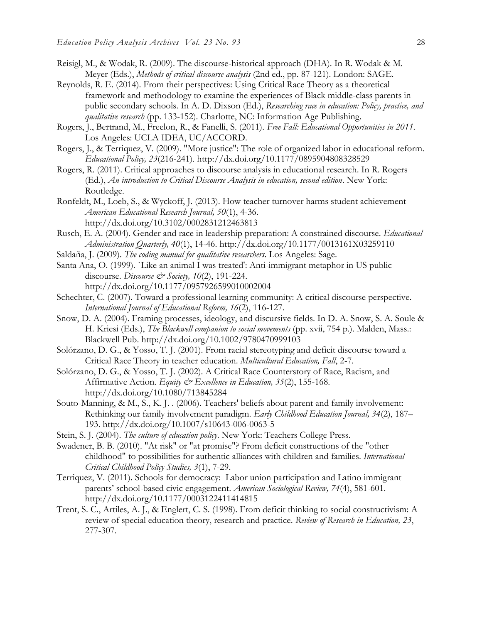- Reisigl, M., & Wodak, R. (2009). The discourse-historical approach (DHA). In R. Wodak & M. Meyer (Eds.), *Methods of critical discourse analysis* (2nd ed., pp. 87-121). London: SAGE.
- Reynolds, R. E. (2014). From their perspectives: Using Critical Race Theory as a theoretical framework and methodology to examine the experiences of Black middle-class parents in public secondary schools. In A. D. Dixson (Ed.), *Researching race in education: Policy, practice, and qualitative research* (pp. 133-152). Charlotte, NC: Information Age Publishing.
- Rogers, J., Bertrand, M., Freelon, R., & Fanelli, S. (2011). *Free Fall: Educational Opportunities in 2011*. Los Angeles: UCLA IDEA, UC/ACCORD.
- Rogers, J., & Terriquez, V. (2009). "More justice": The role of organized labor in educational reform. *Educational Policy, 23*(216-241).<http://dx.doi.org/10.1177/0895904808328529>
- Rogers, R. (2011). Critical approaches to discourse analysis in educational research. In R. Rogers (Ed.), *An introduction to Critical Discourse Analysis in education, second edition*. New York: Routledge.
- Ronfeldt, M., Loeb, S., & Wyckoff, J. (2013). How teacher turnover harms student achievement *American Educational Research Journal, 50*(1), 4-36. <http://dx.doi.org/10.3102/0002831212463813>
- Rusch, E. A. (2004). Gender and race in leadership preparation: A constrained discourse. *Educational Administration Quarterly, 40*(1), 14-46.<http://dx.doi.org/10.1177/0013161X03259110>
- Saldaña, J. (2009). *The coding manual for qualitative researchers*. Los Angeles: Sage.
- Santa Ana, O. (1999). `Like an animal I was treated': Anti-immigrant metaphor in US public discourse. *Discourse & Society, 10*(2), 191-224. <http://dx.doi.org/10.1177/0957926599010002004>
- Schechter, C. (2007). Toward a professional learning community: A critical discourse perspective. *International Journal of Educational Reform, 16*(2), 116-127.
- Snow, D. A. (2004). Framing processes, ideology, and discursive fields. In D. A. Snow, S. A. Soule & H. Kriesi (Eds.), *The Blackwell companion to social movements* (pp. xvii, 754 p.). Malden, Mass.: Blackwell Pub. <http://dx.doi.org/10.1002/9780470999103>
- Solórzano, D. G., & Yosso, T. J. (2001). From racial stereotyping and deficit discourse toward a Critical Race Theory in teacher education. *Multicultural Education, Fall*, 2-7.
- Solórzano, D. G., & Yosso, T. J. (2002). A Critical Race Counterstory of Race, Racism, and Affirmative Action. *Equity & Excellence in Education*, 35(2), 155-168. <http://dx.doi.org/10.1080/713845284>
- Souto-Manning, & M., S., K. J. . (2006). Teachers' beliefs about parent and family involvement: Rethinking our family involvement paradigm. *Early Childhood Education Journal, 34*(2), 187– 193.<http://dx.doi.org/10.1007/s10643-006-0063-5>
- Stein, S. J. (2004). *The culture of education policy*. New York: Teachers College Press.
- Swadener, B. B. (2010). "At risk" or "at promise"? From deficit constructions of the "other childhood" to possibilities for authentic alliances with children and families. *International Critical Childhood Policy Studies, 3*(1), 7-29.
- Terriquez, V. (2011). Schools for democracy: Labor union participation and Latino immigrant parents' school-based civic engagement. *American Sociological Review, 74*(4), 581-601. <http://dx.doi.org/10.1177/0003122411414815>
- Trent, S. C., Artiles, A. J., & Englert, C. S. (1998). From deficit thinking to social constructivism: A review of special education theory, research and practice. *Review of Research in Education, 23*, 277-307.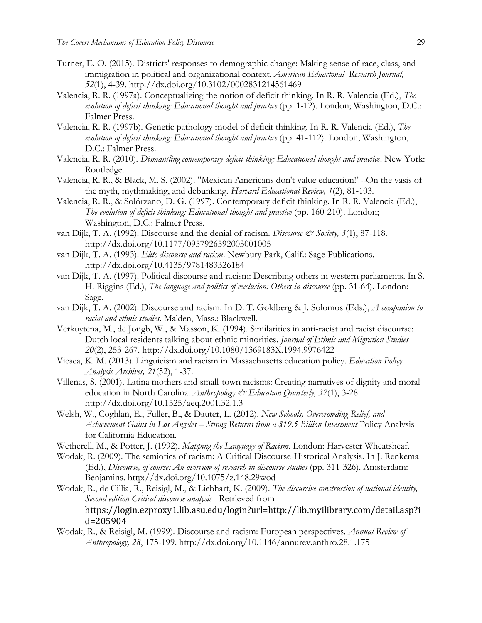- Turner, E. O. (2015). Districts' responses to demographic change: Making sense of race, class, and immigration in political and organizational context. *American Eduactonal Research Journal, 52*(1), 4-39.<http://dx.doi.org/10.3102/0002831214561469>
- Valencia, R. R. (1997a). Conceptualizing the notion of deficit thinking. In R. R. Valencia (Ed.), *The evolution of deficit thinking: Educational thought and practice* (pp. 1-12). London; Washington, D.C.: Falmer Press.
- Valencia, R. R. (1997b). Genetic pathology model of deficit thinking. In R. R. Valencia (Ed.), *The evolution of deficit thinking: Educational thought and practice* (pp. 41-112). London; Washington, D.C.: Falmer Press.
- Valencia, R. R. (2010). *Dismantling contemporary deficit thinking: Educational thought and practice*. New York: Routledge.
- Valencia, R. R., & Black, M. S. (2002). "Mexican Americans don't value education!"--On the vasis of the myth, mythmaking, and debunking. *Harvard Educational Review, 1*(2), 81-103.
- Valencia, R. R., & Solórzano, D. G. (1997). Contemporary deficit thinking. In R. R. Valencia (Ed.), *The evolution of deficit thinking: Educational thought and practice* (pp. 160-210). London; Washington, D.C.: Falmer Press.
- van Dijk, T. A. (1992). Discourse and the denial of racism. *Discourse & Society*, 3(1), 87-118. <http://dx.doi.org/10.1177/0957926592003001005>
- van Dijk, T. A. (1993). *Elite discourse and racism*. Newbury Park, Calif.: Sage Publications. <http://dx.doi.org/10.4135/9781483326184>
- van Dijk, T. A. (1997). Political discourse and racism: Describing others in western parliaments. In S. H. Riggins (Ed.), *The language and politics of exclusion: Others in discourse* (pp. 31-64). London: Sage.
- van Dijk, T. A. (2002). Discourse and racism. In D. T. Goldberg & J. Solomos (Eds.), *A companion to racial and ethnic studies*. Malden, Mass.: Blackwell.
- Verkuytena, M., de Jongb, W., & Masson, K. (1994). Similarities in anti-racist and racist discourse: Dutch local residents talking about ethnic minorities. *Journal of Ethnic and Migration Studies 20*(2), 253-267.<http://dx.doi.org/10.1080/1369183X.1994.9976422>
- Viesca, K. M. (2013). Linguicism and racism in Massachusetts education policy. *Education Policy Analysis Archives, 21*(52), 1-37.
- Villenas, S. (2001). Latina mothers and small-town racisms: Creating narratives of dignity and moral education in North Carolina. *Anthropology & Education Quarterly, 32*(1), 3-28. <http://dx.doi.org/10.1525/aeq.2001.32.1.3>
- Welsh, W., Coghlan, E., Fuller, B., & Dauter, L. (2012). *New Schools, Overcrowding Relief, and Achievement Gains in Los Angeles – Strong Returns from a \$19.5 Billion Investment* Policy Analysis for California Education.
- Wetherell, M., & Potter, J. (1992). *Mapping the Language of Racism*. London: Harvester Wheatsheaf.
- Wodak, R. (2009). The semiotics of racism: A Critical Discourse-Historical Analysis. In J. Renkema (Ed.), *Discourse, of course: An overview of research in discourse studies* (pp. 311-326). Amsterdam: Benjamins. <http://dx.doi.org/10.1075/z.148.29wod>
- Wodak, R., de Cillia, R., Reisigl, M., & Liebhart, K. (2009). *The discursive construction of national identity, Second edition Critical discourse analysis* Retrieved from https://login.ezproxy1.lib.asu.edu/login?url=http://lib.myilibrary.com/detail.asp?i d=205904
- Wodak, R., & Reisigl, M. (1999). Discourse and racism: European perspectives. *Annual Review of Anthropology, 28*, 175-199.<http://dx.doi.org/10.1146/annurev.anthro.28.1.175>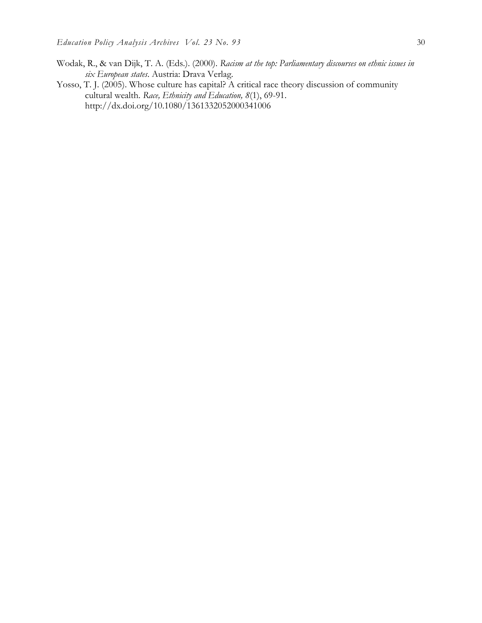- Wodak, R., & van Dijk, T. A. (Eds.). (2000). *Racism at the top: Parliamentary discourses on ethnic issues in six European states*. Austria: Drava Verlag.
- Yosso, T. J. (2005). Whose culture has capital? A critical race theory discussion of community cultural wealth. *Race, Ethnicity and Education, 8*(1), 69-91. <http://dx.doi.org/10.1080/1361332052000341006>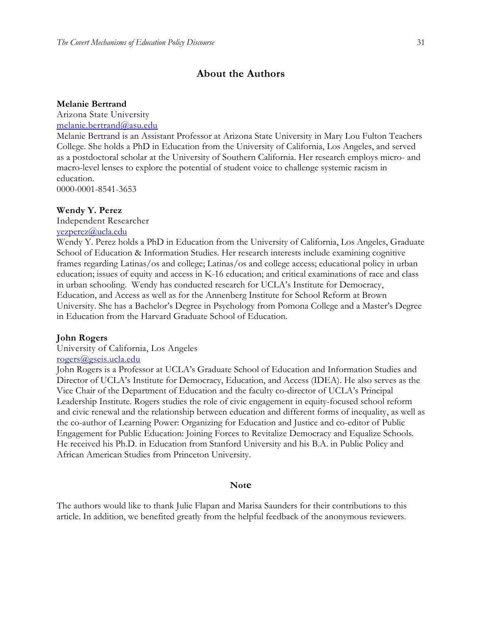### **About the Authors**

#### **Melanie Bertrand**

Arizona State University

[melanie.bertrand@asu.edu](mailto:melanie.bertrand@asu.edu)

Melanie Bertrand is an Assistant Professor at Arizona State University in Mary Lou Fulton Teachers College. She holds a PhD in Education from the University of California, Los Angeles, and served as a postdoctoral scholar at the University of Southern California. Her research employs micro- and macro-level lenses to explore the potential of student voice to challenge systemic racism in education.

0000-0001-8541-3653

#### **Wendy Y. Perez**

Independent Researcher

## [yezperez@ucla.edu](mailto:yezperez@ucla.edu)

Wendy Y. Perez holds a PhD in Education from the University of California, Los Angeles, Graduate School of Education & Information Studies. Her research interests include examining cognitive frames regarding Latinas/os and college; Latinas/os and college access; educational policy in urban education; issues of equity and access in K-16 education; and critical examinations of race and class in urban schooling. Wendy has conducted research for UCLA's Institute for Democracy, Education, and Access as well as for the Annenberg Institute for School Reform at Brown University. She has a Bachelor's Degree in Psychology from Pomona College and a Master's Degree in Education from the Harvard Graduate School of Education.

#### **John Rogers**

University of California, Los Angeles [rogers@gseis.ucla.edu](mailto:rogers@gseis.ucla.edu)

John Rogers is a Professor at UCLA's Graduate School of Education and Information Studies and Director of UCLA's Institute for Democracy, Education, and Access (IDEA). He also serves as the Vice Chair of the Department of Education and the faculty co-director of UCLA's Principal Leadership Institute. Rogers studies the role of civic engagement in equity-focused school reform and civic renewal and the relationship between education and different forms of inequality, as well as the co-author of Learning Power: Organizing for Education and Justice and co-editor of Public Engagement for Public Education: Joining Forces to Revitalize Democracy and Equalize Schools. He received his Ph.D. in Education from Stanford University and his B.A. in Public Policy and African American Studies from Princeton University.

#### **Note**

The authors would like to thank Julie Flapan and Marisa Saunders for their contributions to this article. In addition, we benefited greatly from the helpful feedback of the anonymous reviewers.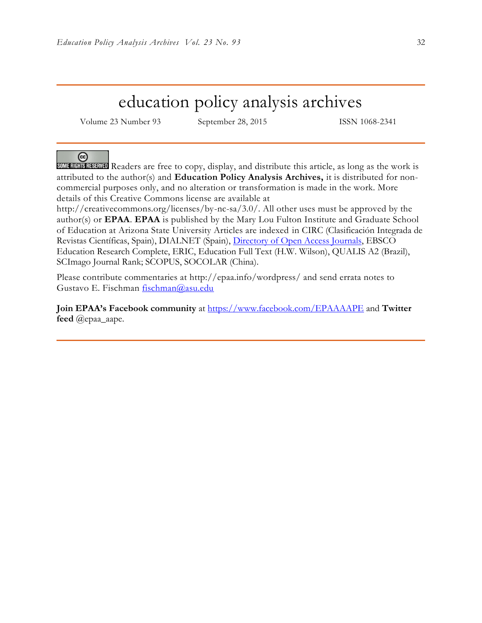## education policy analysis archives

Volume 23 Number 93 September 28, 2015 ISSN 1068-2341

@

SOME RIGHTS RESERVED Readers are free to copy, display, and distribute this article, as long as the work is attributed to the author(s) and **Education Policy Analysis Archives,** it is distributed for noncommercial purposes only, and no alteration or transformation is made in the work. More details of this Creative Commons license are available at

http://creativecommons.org/licenses/by-nc-sa/3.0/. All other uses must be approved by the author(s) or **EPAA**. **EPAA** is published by the Mary Lou Fulton Institute and Graduate School of Education at Arizona State University Articles are indexed in CIRC (Clasificación Integrada de Revistas Científicas, Spain), DIALNET (Spain), [Directory of Open Access Journals,](http://www.doaj.org/) EBSCO Education Research Complete, ERIC, Education Full Text (H.W. Wilson), QUALIS A2 (Brazil), SCImago Journal Rank; SCOPUS, SOCOLAR (China).

Please contribute commentaries at http://epaa.info/wordpress/ and send errata notes to Gustavo E. Fischman [fischman@asu.edu](mailto:fischman@asu.edu)

**Join EPAA's Facebook community** at<https://www.facebook.com/EPAAAAPE> and **Twitter feed** @epaa\_aape.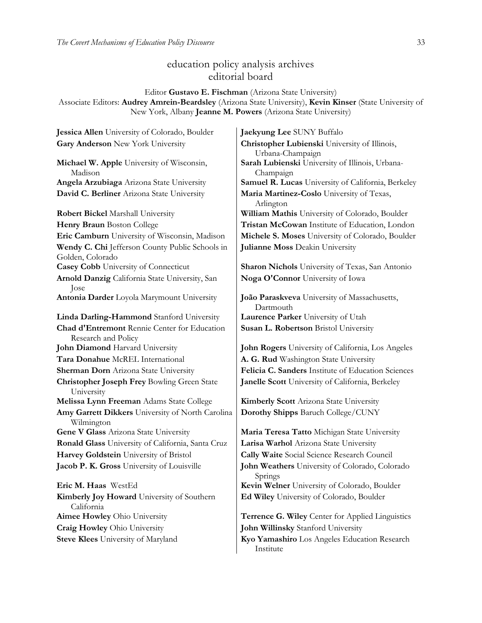## education policy analysis archives editorial board

Editor **Gustavo E. Fischman** (Arizona State University)

Associate Editors: **Audrey Amrein-Beardsley** (Arizona State University), **Kevin Kinser** (State University of New York, Albany **Jeanne M. Powers** (Arizona State University)

**Gary Anderson** New York University **Christopher Lubienski** University of Illinois,

**Michael W. Apple** University of Wisconsin, Madison

**Robert Bickel** Marshall University **William Mathis** University of Colorado, Boulder **Wendy C. Chi** Jefferson County Public Schools in Golden, Colorado **Casey Cobb** University of Connecticut **Sharon Nichols** University of Texas, San Antonio **Arnold Danzig** California State University, San Jose **Antonia Darder** Loyola Marymount University **João Paraskveva** University of Massachusetts, **Linda Darling-Hammond** Stanford University **Laurence Parker** University of Utah **Chad d'Entremont** Rennie Center for Education Research and Policy **John Diamond** Harvard University **John Rogers** University of California, Los Angeles **Tara Donahue** McREL International **A. G. Rud** Washington State University **Christopher Joseph Frey** Bowling Green State University **Melissa Lynn Freeman** Adams State College **Kimberly Scott** Arizona State University **Amy Garrett Dikkers** University of North Carolina Wilmington **Gene V Glass Arizona State University | Maria Teresa Tatto Michigan State University Ronald Glass** University of California, Santa Cruz **Larisa Warhol** Arizona State University **Harvey Goldstein** University of Bristol **Cally Waite** Social Science Research Council **Eric M. Haas** WestEd **Kevin Welner** University of Colorado, Boulder **Kimberly Joy Howard** University of Southern California

**Steve Klees** University of Maryland **Kyo Yamashiro** Los Angeles Education Research

**Jessica Allen** University of Colorado, Boulder **Jaekyung Lee** SUNY Buffalo

Urbana-Champaign **Sarah Lubienski** University of Illinois, Urbana-Champaign **Angela Arzubiaga** Arizona State University **Samuel R. Lucas** University of California, Berkeley **David C. Berliner** Arizona State University **Maria Martinez-Coslo** University of Texas, Arlington **Henry Braun** Boston College **Tristan McCowan** Institute of Education, London **Eric Camburn** University of Wisconsin, Madison | **Michele S. Moses** University of Colorado, Boulder **Julianne Moss** Deakin University

**Noga O'Connor** University of Iowa

Dartmouth **Susan L. Robertson** Bristol University

**Sherman Dorn** Arizona State University **Felicia C. Sanders** Institute of Education Sciences **Janelle Scott** University of California, Berkeley

**Dorothy Shipps** Baruch College/CUNY

**Jacob P. K. Gross** University of Louisville **John Weathers** University of Colorado, Colorado Springs **Ed Wiley** University of Colorado, Boulder

**Aimee Howley** Ohio University **Terrence G. Wiley** Center for Applied Linguistics **Craig Howley** Ohio University **John Willinsky** Stanford University

Institute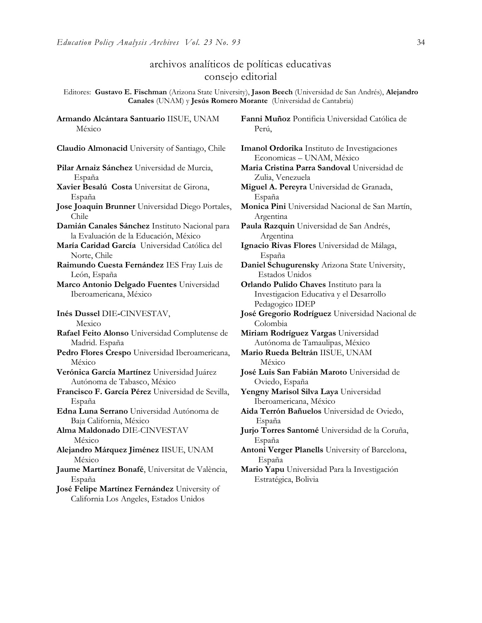## archivos analíticos de políticas educativas consejo editorial

Editores: **Gustavo E. Fischman** (Arizona State University), **Jason Beech** (Universidad de San Andrés), **Alejandro Canales** (UNAM) y **Jesús Romero Morante** (Universidad de Cantabria)

**Armando Alcántara Santuario** IISUE, UNAM México

**Pilar Arnaiz Sánchez** Universidad de Murcia, España **Xavier Besalú Costa** Universitat de Girona,

- España
- **Jose Joaquin Brunner** Universidad Diego Portales, Chile
- **Damián Canales Sánchez** Instituto Nacional para la Evaluación de la Educación, México
- **María Caridad García** Universidad Católica del Norte, Chile

**Raimundo Cuesta Fernández** IES Fray Luis de León, España

- **Marco Antonio Delgado Fuentes** Universidad Iberoamericana, México
- **Inés Dussel** DIE**-**CINVESTAV, Mexico

**Rafael Feito Alonso** Universidad Complutense de Madrid. España

- **Pedro Flores Crespo** Universidad Iberoamericana, México
- **Verónica García Martínez** Universidad Juárez Autónoma de Tabasco, México

**Francisco F. García Pérez** Universidad de Sevilla, España

- **Edna Luna Serrano** Universidad Autónoma de Baja California, México
- **Alma Maldonado** DIE-CINVESTAV México
- **Alejandro Márquez Jiménez** IISUE, UNAM México

**Jaume Martínez Bonafé**, Universitat de València, España

**José Felipe Martínez Fernández** University of California Los Angeles, Estados Unidos

**Fanni Muñoz** Pontificia Universidad Católica de Perú,

**Claudio Almonacid** University of Santiago, Chile **Imanol Ordorika** Instituto de Investigaciones Economicas – UNAM, México **Maria Cristina Parra Sandoval** Universidad de

Zulia, Venezuela

- **Miguel A. Pereyra** Universidad de Granada, España
- **Monica Pini** Universidad Nacional de San Martín, Argentina

**Paula Razquin** Universidad de San Andrés, Argentina

**Ignacio Rivas Flores** Universidad de Málaga, España

**Daniel Schugurensky** Arizona State University, Estados Unidos

**Orlando Pulido Chaves** Instituto para la Investigacion Educativa y el Desarrollo Pedagogico IDEP

**José Gregorio Rodríguez** Universidad Nacional de Colombia

**Miriam Rodríguez Vargas** Universidad Autónoma de Tamaulipas, México

**Mario Rueda Beltrán** IISUE, UNAM México

**José Luis San Fabián Maroto** Universidad de Oviedo, España

**Yengny Marisol Silva Laya** Universidad Iberoamericana, México

**Aida Terrón Bañuelos** Universidad de Oviedo, España

**Jurjo Torres Santomé** Universidad de la Coruña, España

**Antoni Verger Planells** University of Barcelona, España

**Mario Yapu** Universidad Para la Investigación Estratégica, Bolivia